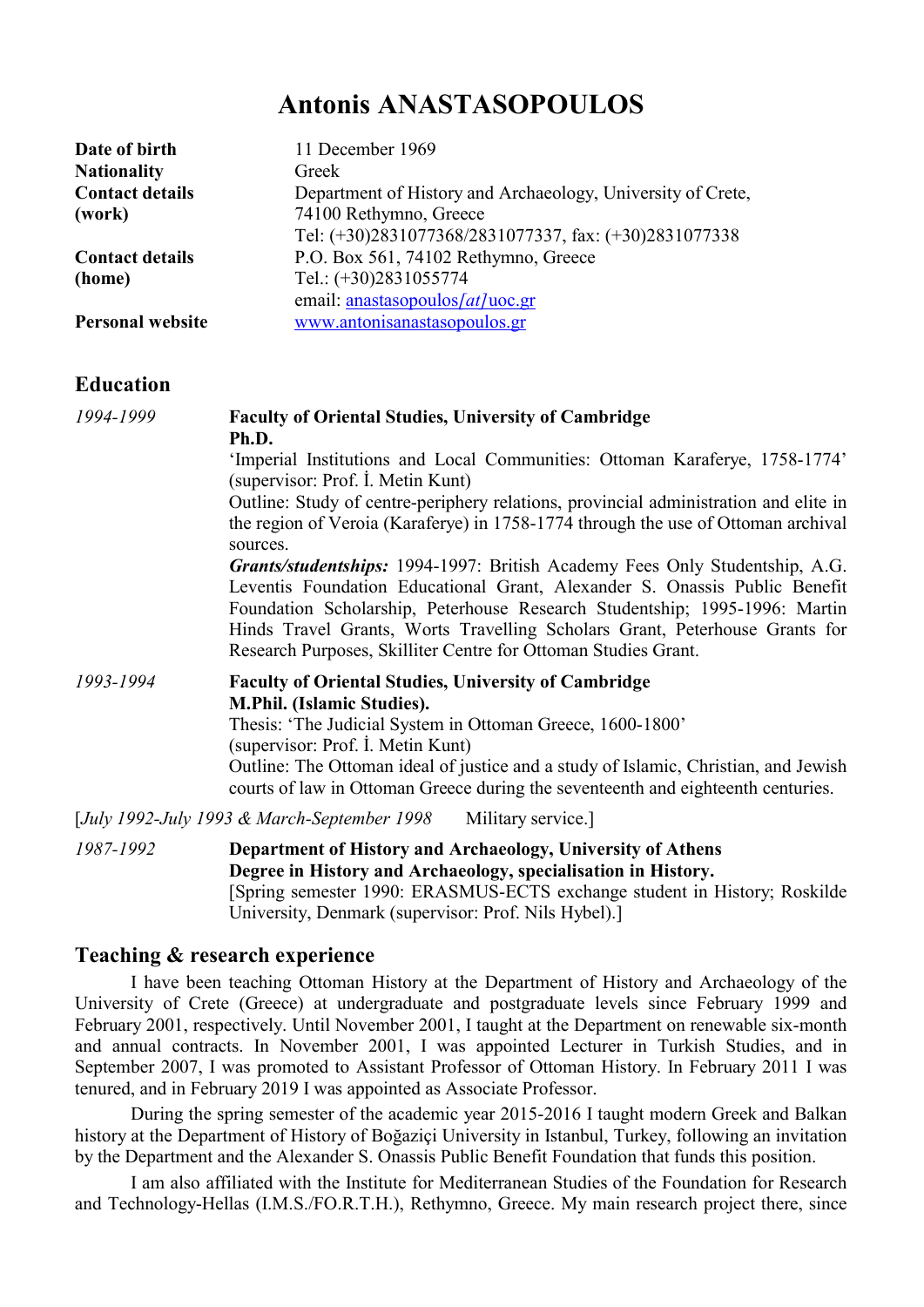# Antonis ANASTASOPOULOS

| Date of birth           | 11 December 1969                                            |
|-------------------------|-------------------------------------------------------------|
| <b>Nationality</b>      | Greek                                                       |
| <b>Contact details</b>  | Department of History and Archaeology, University of Crete, |
| (work)                  | 74100 Rethymno, Greece                                      |
|                         | Tel: (+30)2831077368/2831077337, fax: (+30)2831077338       |
| <b>Contact details</b>  | P.O. Box 561, 74102 Rethymno, Greece                        |
| (home)                  | Tel.: (+30)2831055774                                       |
|                         | email: anastasopoulos/at/uoc.gr                             |
| <b>Personal website</b> | www.antonisanastasopoulos.gr                                |

#### **Education**

| 1994-1999 | <b>Faculty of Oriental Studies, University of Cambridge</b>                                                                                                                                                                                                                                                                                                                                     |
|-----------|-------------------------------------------------------------------------------------------------------------------------------------------------------------------------------------------------------------------------------------------------------------------------------------------------------------------------------------------------------------------------------------------------|
|           | Ph.D.                                                                                                                                                                                                                                                                                                                                                                                           |
|           | 'Imperial Institutions and Local Communities: Ottoman Karaferye, 1758-1774'                                                                                                                                                                                                                                                                                                                     |
|           | (supervisor: Prof. I. Metin Kunt)                                                                                                                                                                                                                                                                                                                                                               |
|           | Outline: Study of centre-periphery relations, provincial administration and elite in                                                                                                                                                                                                                                                                                                            |
|           | the region of Veroia (Karaferye) in 1758-1774 through the use of Ottoman archival<br>sources.                                                                                                                                                                                                                                                                                                   |
|           | <b>Grants/studentships:</b> 1994-1997: British Academy Fees Only Studentship, A.G.<br>Leventis Foundation Educational Grant, Alexander S. Onassis Public Benefit<br>Foundation Scholarship, Peterhouse Research Studentship; 1995-1996: Martin<br>Hinds Travel Grants, Worts Travelling Scholars Grant, Peterhouse Grants for<br>Research Purposes, Skilliter Centre for Ottoman Studies Grant. |
| 1993-1994 | <b>Faculty of Oriental Studies, University of Cambridge</b>                                                                                                                                                                                                                                                                                                                                     |
|           | <b>M.Phil.</b> (Islamic Studies).                                                                                                                                                                                                                                                                                                                                                               |
|           | Thesis: 'The Judicial System in Ottoman Greece, 1600-1800'<br>(supervisor: Prof. I. Metin Kunt)                                                                                                                                                                                                                                                                                                 |
|           | Outline: The Ottoman ideal of justice and a study of Islamic, Christian, and Jewish<br>courts of law in Ottoman Greece during the seventeenth and eighteenth centuries.                                                                                                                                                                                                                         |
|           | [July 1992-July 1993 & March-September 1998]<br>Military service.                                                                                                                                                                                                                                                                                                                               |
|           | $\mathbf{100}$ $\mathbf{1000}$ $\mathbf{0.10}$ $\mathbf{0.10}$ $\mathbf{0.10}$ $\mathbf{0.10}$ $\mathbf{0.10}$ $\mathbf{0.10}$ $\mathbf{0.10}$ $\mathbf{0.10}$                                                                                                                                                                                                                                  |

1987-1992 Department of History and Archaeology, University of Athens Degree in History and Archaeology, specialisation in History. [Spring semester 1990: ERASMUS-ECTS exchange student in History; Roskilde University, Denmark (supervisor: Prof. Nils Hybel).]

### Teaching & research experience

I have been teaching Ottoman History at the Department of History and Archaeology of the University of Crete (Greece) at undergraduate and postgraduate levels since February 1999 and February 2001, respectively. Until November 2001, I taught at the Department on renewable six-month and annual contracts. In November 2001, I was appointed Lecturer in Turkish Studies, and in September 2007, I was promoted to Assistant Professor of Ottoman History. In February 2011 I was tenured, and in February 2019 I was appointed as Associate Professor.

During the spring semester of the academic year 2015-2016 I taught modern Greek and Balkan history at the Department of History of Boğaziçi University in Istanbul, Turkey, following an invitation by the Department and the Alexander S. Onassis Public Benefit Foundation that funds this position.

I am also affiliated with the Institute for Mediterranean Studies of the Foundation for Research and Technology-Hellas (I.M.S./FO.R.T.H.), Rethymno, Greece. My main research project there, since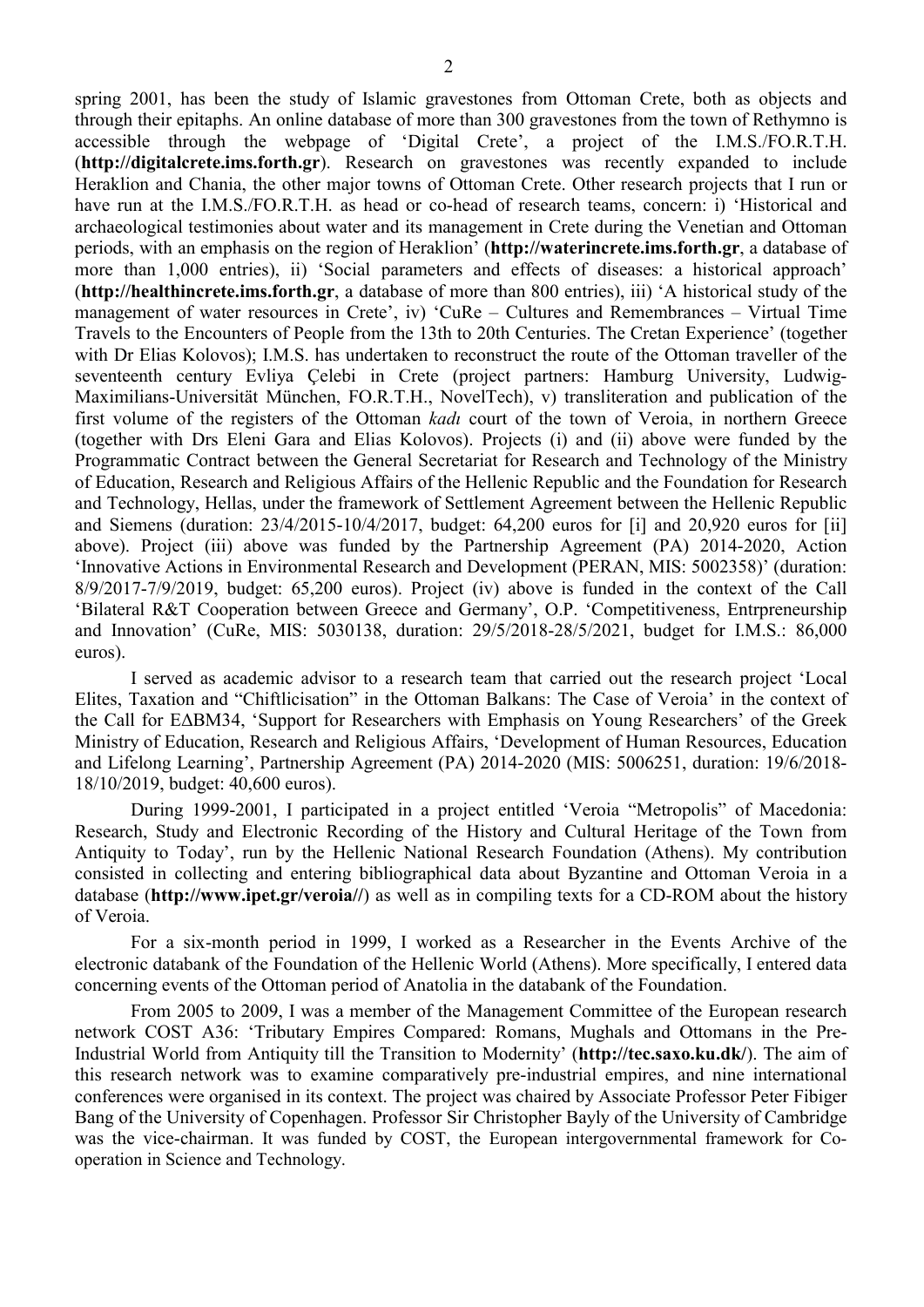spring 2001, has been the study of Islamic gravestones from Ottoman Crete, both as objects and through their epitaphs. An online database of more than 300 gravestones from the town of Rethymno is accessible through the webpage of 'Digital Crete', a project of the I.M.S./FO.R.T.H. (http://digitalcrete.ims.forth.gr). Research on gravestones was recently expanded to include Heraklion and Chania, the other major towns of Ottoman Crete. Other research projects that I run or have run at the I.M.S./FO.R.T.H. as head or co-head of research teams, concern: i) 'Historical and archaeological testimonies about water and its management in Crete during the Venetian and Ottoman periods, with an emphasis on the region of Heraklion' (http://waterincrete.ims.forth.gr, a database of more than 1,000 entries), ii) 'Social parameters and effects of diseases: a historical approach' (http://healthincrete.ims.forth.gr, a database of more than 800 entries), iii) 'A historical study of the management of water resources in Crete', iv) 'CuRe – Cultures and Remembrances – Virtual Time Travels to the Encounters of People from the 13th to 20th Centuries. The Cretan Experience' (together with Dr Elias Kolovos); I.M.S. has undertaken to reconstruct the route of the Ottoman traveller of the seventeenth century Evliya Çelebi in Crete (project partners: Hamburg University, Ludwig-Maximilians-Universität München, FO.R.T.H., NovelTech), v) transliteration and publication of the first volume of the registers of the Ottoman kadı court of the town of Veroia, in northern Greece (together with Drs Eleni Gara and Elias Kolovos). Projects (i) and (ii) above were funded by the Programmatic Contract between the General Secretariat for Research and Technology of the Ministry of Education, Research and Religious Affairs of the Hellenic Republic and the Foundation for Research and Technology, Hellas, under the framework of Settlement Agreement between the Hellenic Republic and Siemens (duration: 23/4/2015-10/4/2017, budget: 64,200 euros for [i] and 20,920 euros for [ii] above). Project (iii) above was funded by the Partnership Agreement (PA) 2014-2020, Action 'Innovative Actions in Environmental Research and Development (PERAN, MIS: 5002358)' (duration: 8/9/2017-7/9/2019, budget: 65,200 euros). Project (iv) above is funded in the context of the Call 'Bilateral R&T Cooperation between Greece and Germany', O.P. 'Competitiveness, Entrpreneurship and Innovation' (CuRe, MIS: 5030138, duration: 29/5/2018-28/5/2021, budget for I.M.S.: 86,000 euros).

I served as academic advisor to a research team that carried out the research project 'Local Elites, Taxation and "Chiftlicisation" in the Ottoman Balkans: The Case of Veroia' in the context of the Call for ΕΔΒΜ34, 'Support for Researchers with Emphasis on Young Researchers' of the Greek Ministry of Education, Research and Religious Affairs, 'Development of Human Resources, Education and Lifelong Learning', Partnership Agreement (PA) 2014-2020 (MIS: 5006251, duration: 19/6/2018- 18/10/2019, budget: 40,600 euros).

During 1999-2001, I participated in a project entitled 'Veroia "Metropolis" of Macedonia: Research, Study and Electronic Recording of the History and Cultural Heritage of the Town from Antiquity to Today', run by the Hellenic National Research Foundation (Athens). My contribution consisted in collecting and entering bibliographical data about Byzantine and Ottoman Veroia in a database (http://www.ipet.gr/veroia//) as well as in compiling texts for a CD-ROM about the history of Veroia.

For a six-month period in 1999, I worked as a Researcher in the Events Archive of the electronic databank of the Foundation of the Hellenic World (Athens). More specifically, I entered data concerning events of the Ottoman period of Anatolia in the databank of the Foundation.

From 2005 to 2009, I was a member of the Management Committee of the European research network COST Α36: 'Tributary Empires Compared: Romans, Mughals and Ottomans in the Pre-Industrial World from Antiquity till the Transition to Modernity' (http://tec.saxo.ku.dk/). The aim of this research network was to examine comparatively pre-industrial empires, and nine international conferences were organised in its context. The project was chaired by Associate Professor Peter Fibiger Bang of the University of Copenhagen. Professor Sir Christopher Bayly of the University of Cambridge was the vice-chairman. It was funded by COST, the European intergovernmental framework for Cooperation in Science and Technology.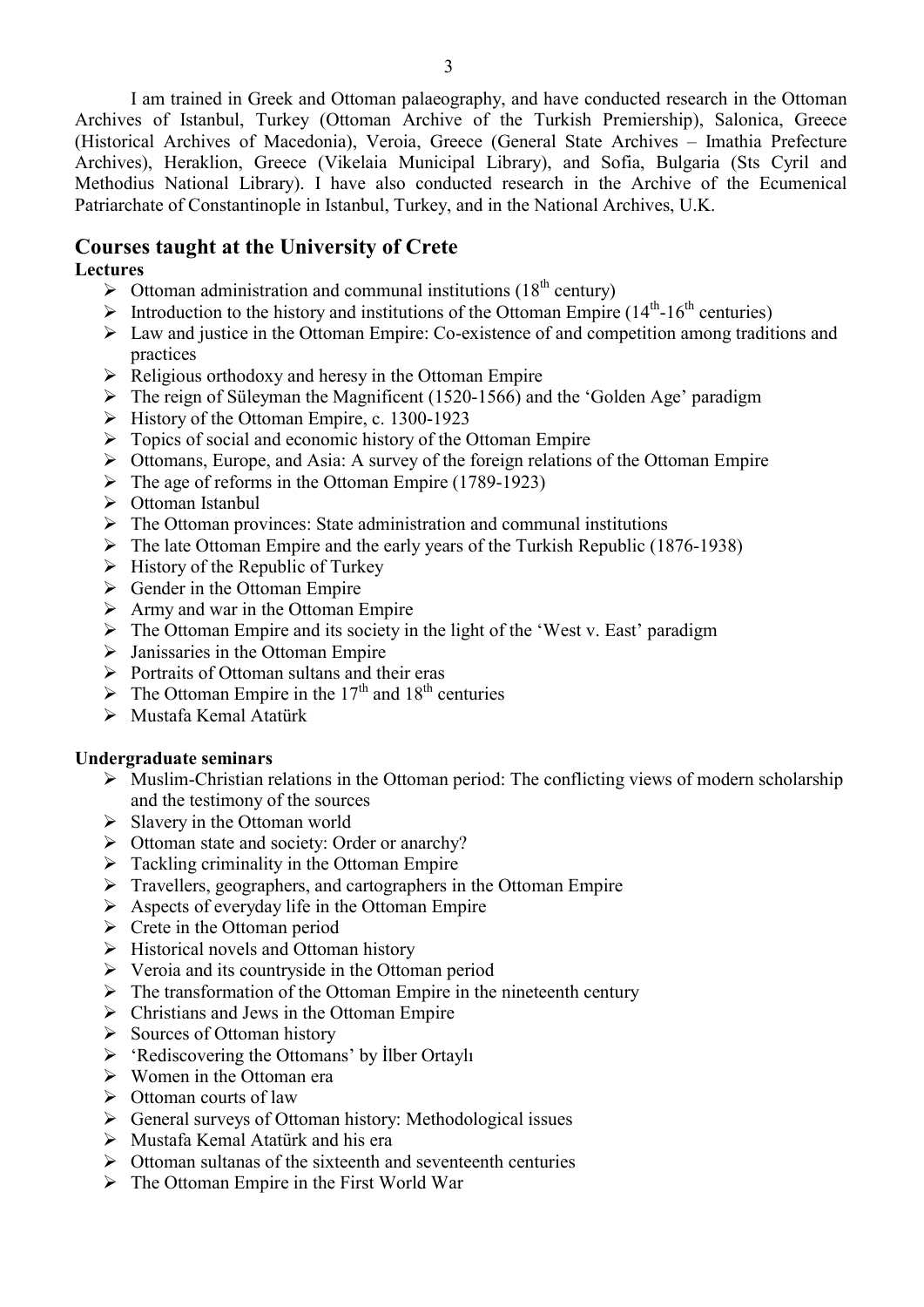I am trained in Greek and Ottoman palaeography, and have conducted research in the Ottoman Archives of Istanbul, Turkey (Ottoman Archive of the Turkish Premiership), Salonica, Greece (Historical Archives of Macedonia), Veroia, Greece (General State Archives – Imathia Prefecture Archives), Heraklion, Greece (Vikelaia Municipal Library), and Sofia, Bulgaria (Sts Cyril and Methodius National Library). I have also conducted research in the Archive of the Ecumenical Patriarchate of Constantinople in Istanbul, Turkey, and in the National Archives, U.K.

# Courses taught at the University of Crete

# Lectures

- $\triangleright$  Ottoman administration and communal institutions (18<sup>th</sup> century)
- Introduction to the history and institutions of the Ottoman Empire  $(14<sup>th</sup>-16<sup>th</sup>$  centuries)
- Law and justice in the Ottoman Empire: Co-existence of and competition among traditions and practices
- $\triangleright$  Religious orthodoxy and heresy in the Ottoman Empire
- $\triangleright$  The reign of Süleyman the Magnificent (1520-1566) and the 'Golden Age' paradigm
- $\triangleright$  History of the Ottoman Empire, c. 1300-1923
- $\triangleright$  Topics of social and economic history of the Ottoman Empire
- Ottomans, Europe, and Asia: A survey of the foreign relations of the Ottoman Empire
- $\triangleright$  The age of reforms in the Ottoman Empire (1789-1923)
- Ottoman Istanbul
- $\triangleright$  The Ottoman provinces: State administration and communal institutions
- $\triangleright$  The late Ottoman Empire and the early years of the Turkish Republic (1876-1938)
- $\triangleright$  History of the Republic of Turkey
- $\triangleright$  Gender in the Ottoman Empire
- $\triangleright$  Army and war in the Ottoman Empire
- $\triangleright$  The Ottoman Empire and its society in the light of the 'West v. East' paradigm
- $\triangleright$  Janissaries in the Ottoman Empire
- $\triangleright$  Portraits of Ottoman sultans and their eras
- $\triangleright$  The Ottoman Empire in the 17<sup>th</sup> and 18<sup>th</sup> centuries
- Mustafa Kemal Atatürk

#### Undergraduate seminars

- $\triangleright$  Muslim-Christian relations in the Ottoman period: The conflicting views of modern scholarship and the testimony of the sources
- $\triangleright$  Slavery in the Ottoman world
- $\triangleright$  Ottoman state and society: Order or anarchy?
- $\triangleright$  Tackling criminality in the Ottoman Empire
- Travellers, geographers, and cartographers in the Ottoman Empire
- $\triangleright$  Aspects of everyday life in the Ottoman Empire
- $\triangleright$  Crete in the Ottoman period
- $\triangleright$  Historical novels and Ottoman history
- $\triangleright$  Veroia and its countryside in the Ottoman period
- $\triangleright$  The transformation of the Ottoman Empire in the nineteenth century
- $\triangleright$  Christians and Jews in the Ottoman Empire
- $\triangleright$  Sources of Ottoman history
- 'Rediscovering the Ottomans' by İlber Ortaylı
- $\triangleright$  Women in the Ottoman era
- $\triangleright$  Ottoman courts of law
- General surveys of Ottoman history: Methodological issues
- $\triangleright$  Mustafa Kemal Atatürk and his era
- $\triangleright$  Ottoman sultanas of the sixteenth and seventeenth centuries
- $\triangleright$  The Ottoman Empire in the First World War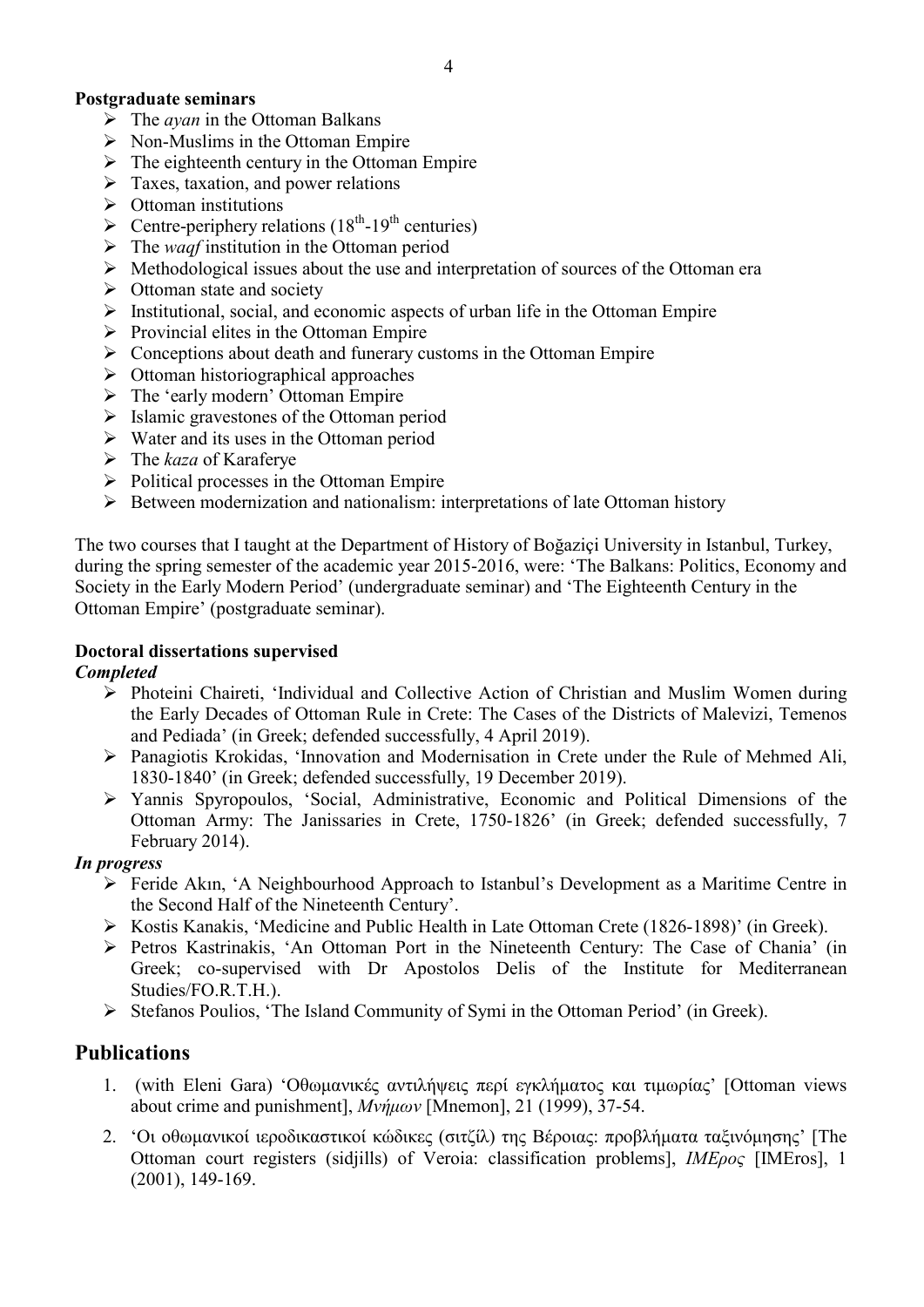# Postgraduate seminars

- $\triangleright$  The *avan* in the Ottoman Balkans
- $\triangleright$  Non-Muslims in the Ottoman Empire
- $\triangleright$  The eighteenth century in the Ottoman Empire
- $\triangleright$  Taxes, taxation, and power relations
- $\triangleright$  Ottoman institutions
- > Centre-periphery relations  $(18<sup>th</sup>-19<sup>th</sup>$  centuries)
- $\triangleright$  The *waqf* institution in the Ottoman period
- $\triangleright$  Methodological issues about the use and interpretation of sources of the Ottoman era
- $\triangleright$  Ottoman state and society
- $\triangleright$  Institutional, social, and economic aspects of urban life in the Ottoman Empire
- $\triangleright$  Provincial elites in the Ottoman Empire
- $\triangleright$  Conceptions about death and funerary customs in the Ottoman Empire
- $\triangleright$  Ottoman historiographical approaches
- $\triangleright$  The 'early modern' Ottoman Empire
- $\triangleright$  Islamic gravestones of the Ottoman period
- $\triangleright$  Water and its uses in the Ottoman period
- $\triangleright$  The *kaza* of Karaferye
- $\triangleright$  Political processes in the Ottoman Empire
- $\triangleright$  Between modernization and nationalism: interpretations of late Ottoman history

The two courses that I taught at the Department of History of Boğaziçi University in Istanbul, Turkey, during the spring semester of the academic year 2015-2016, were: 'The Balkans: Politics, Economy and Society in the Early Modern Period' (undergraduate seminar) and 'The Eighteenth Century in the Ottoman Empire' (postgraduate seminar).

# Doctoral dissertations supervised

### Completed

- Photeini Chaireti, 'Individual and Collective Action of Christian and Muslim Women during the Early Decades of Ottoman Rule in Crete: The Cases of the Districts of Malevizi, Temenos and Pediada' (in Greek; defended successfully, 4 April 2019).
- $\triangleright$  Panagiotis Krokidas, 'Innovation and Modernisation in Crete under the Rule of Mehmed Ali, 1830-1840' (in Greek; defended successfully, 19 December 2019).
- Yannis Spyropoulos, 'Social, Administrative, Economic and Political Dimensions of the Ottoman Army: The Janissaries in Crete, 1750-1826' (in Greek; defended successfully, 7 February 2014).

### In progress

- Feride Akın, 'A Neighbourhood Approach to Istanbul's Development as a Maritime Centre in the Second Half of the Nineteenth Century'.
- Kostis Kanakis, 'Medicine and Public Health in Late Ottoman Crete (1826-1898)' (in Greek).
- Petros Kastrinakis, 'An Ottoman Port in the Nineteenth Century: The Case of Chania' (in Greek; co-supervised with Dr Apostolos Delis of the Institute for Mediterranean Studies/FO.R.T.H.).
- Stefanos Poulios, 'The Island Community of Symi in the Ottoman Period' (in Greek).

# Publications

- 1. (with Eleni Gara) 'Οθωμανικές αντιλήψεις περί εγκλήματος και τιμωρίας' [Ottoman views about crime and punishment], Μνήμων [Mnemon], 21 (1999), 37-54.
- 2. 'Οι οθωμανικοί ιεροδικαστικοί κώδικες (σιτζίλ) της Βέροιας: προβλήματα ταξινόμησης' [The Ottoman court registers (sidjills) of Veroia: classification problems], IMEρος [ΙΜΕros], 1 (2001), 149-169.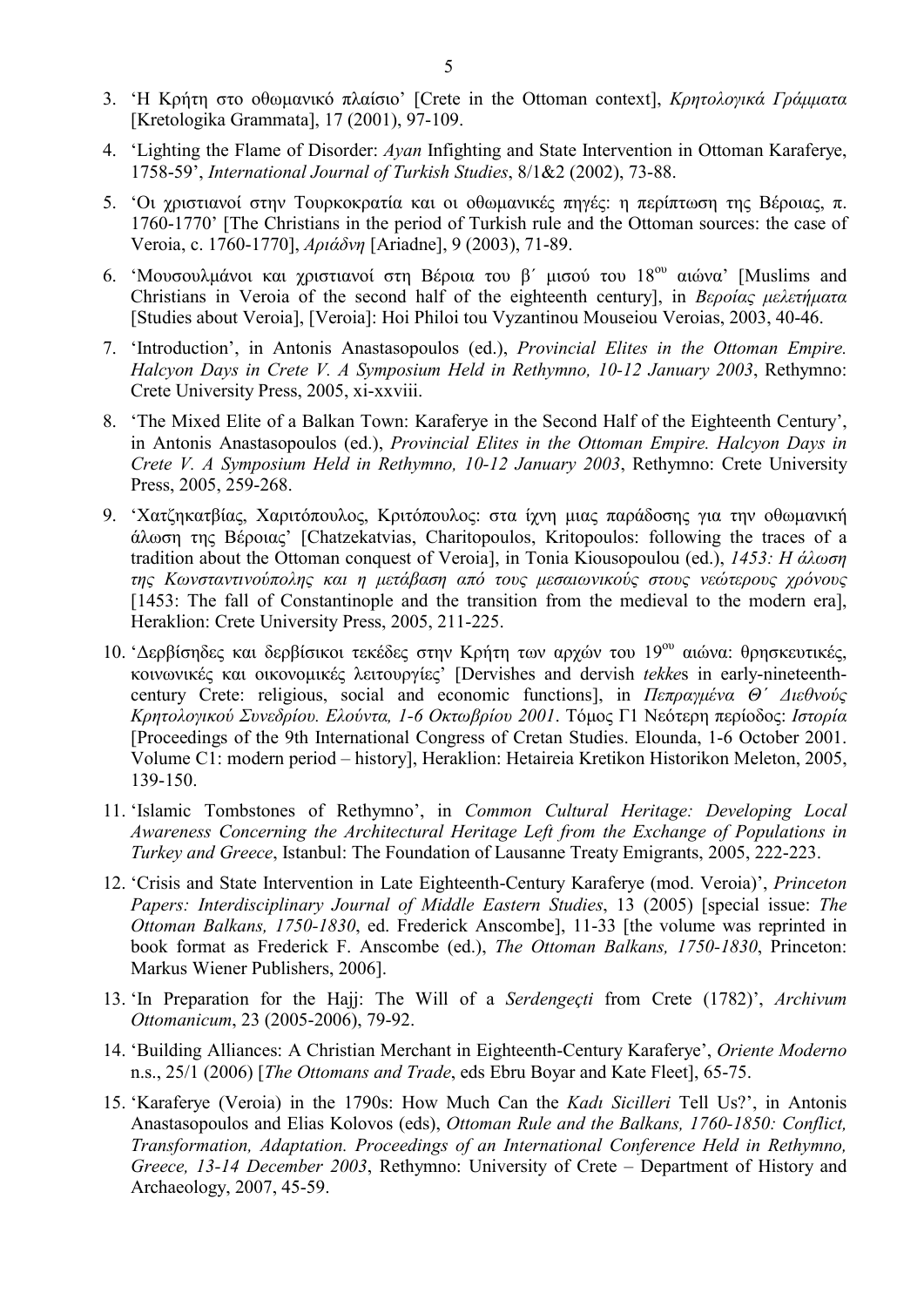- 3. 'Η Κρήτη στο οθωμανικό πλαίσιο' [Crete in the Ottoman context], Κρητολογικά Γράμματα [Kretologika Grammata], 17 (2001), 97-109.
- 4. 'Lighting the Flame of Disorder: Ayan Infighting and State Intervention in Ottoman Karaferye, 1758-59', International Journal of Turkish Studies, 8/1&2 (2002), 73-88.
- 5. 'Οι χριστιανοί στην Τουρκοκρατία και οι οθωμανικές πηγές: η περίπτωση της Βέροιας, π. 1760-1770' [The Christians in the period of Turkish rule and the Ottoman sources: the case of Veroia, c. 1760-1770], Αριάδνη [Ariadne], 9 (2003), 71-89.
- 6. 'Μουσουλμάνοι και χριστιανοί στη Βέροια του β΄ μισού του 18ου αιώνα' [Muslims and Christians in Veroia of the second half of the eighteenth century], in Βεροίας μελετήματα [Studies about Veroia], [Veroia]: Hoi Philoi tou Vyzantinou Mouseiou Veroias, 2003, 40-46.
- 7. 'Introduction', in Antonis Anastasopoulos (ed.), Provincial Elites in the Ottoman Empire. Halcyon Days in Crete V. A Symposium Held in Rethymno, 10-12 January 2003, Rethymno: Crete University Press, 2005, xi-xxviii.
- 8. 'The Mixed Elite of a Balkan Town: Karaferye in the Second Half of the Eighteenth Century', in Antonis Anastasopoulos (ed.), Provincial Elites in the Ottoman Empire. Halcyon Days in Crete V. A Symposium Held in Rethymno, 10-12 January 2003, Rethymno: Crete University Press, 2005, 259-268.
- 9. 'Χατζηκατβίας, Χαριτόπουλος, Κριτόπουλος: στα ίχνη μιας παράδοσης για την οθωμανική άλωση της Βέροιας' [Chatzekatvias, Charitopoulos, Kritopoulos: following the traces of a tradition about the Ottoman conquest of Veroia], in Tonia Kiousopoulou (ed.),  $1453$ : H άλωση της Κωνσταντινούπολης και η μετάβαση από τους μεσαιωνικούς στους νεώτερους χρόνους [1453: The fall of Constantinople and the transition from the medieval to the modern era], Heraklion: Crete University Press, 2005, 211-225.
- 10. 'Δερβίσηδες και δερβίσικοι τεκέδες στην Κρήτη των αρχών του 19ου αιώνα: θρησκευτικές, κοινωνικές και οικονομικές λειτουργίες' [Dervishes and dervish tekkes in early-nineteenthcentury Crete: religious, social and economic functions], in  $\pi \pi \rho \alpha \gamma \mu \epsilon \nu \alpha \Theta'$  Διεθνούς Κρητολογικού Συνεδρίου. Ελούντα, 1-6 Οκτωβρίου 2001. Τόμος Γ1 Νεότερη περίοδος: Ιστορία [Proceedings of the 9th International Congress of Cretan Studies. Elounda, 1-6 October 2001. Volume C1: modern period – history], Heraklion: Hetaireia Kretikon Historikon Meleton, 2005, 139-150.
- 11. 'Islamic Tombstones of Rethymno', in Common Cultural Heritage: Developing Local Awareness Concerning the Architectural Heritage Left from the Exchange of Populations in Turkey and Greece, Istanbul: The Foundation of Lausanne Treaty Emigrants, 2005, 222-223.
- 12. 'Crisis and State Intervention in Late Eighteenth-Century Karaferye (mod. Veroia)', Princeton Papers: Interdisciplinary Journal of Middle Eastern Studies, 13 (2005) [special issue: The Ottoman Balkans, 1750-1830, ed. Frederick Anscombe], 11-33 [the volume was reprinted in book format as Frederick F. Anscombe (ed.), The Ottoman Balkans, 1750-1830, Princeton: Markus Wiener Publishers, 2006].
- 13. 'In Preparation for the Hajj: The Will of a Serdengeçti from Crete (1782)', Archivum Ottomanicum, 23 (2005-2006), 79-92.
- 14. 'Building Alliances: A Christian Merchant in Eighteenth-Century Karaferye', Oriente Moderno n.s., 25/1 (2006) [The Ottomans and Trade, eds Ebru Boyar and Kate Fleet], 65-75.
- 15. 'Karaferye (Veroia) in the 1790s: How Much Can the Kadı Sicilleri Tell Us?', in Antonis Anastasopoulos and Elias Kolovos (eds), Ottoman Rule and the Balkans, 1760-1850: Conflict, Transformation, Adaptation. Proceedings of an International Conference Held in Rethymno, Greece, 13-14 December 2003, Rethymno: University of Crete – Department of History and Archaeology, 2007, 45-59.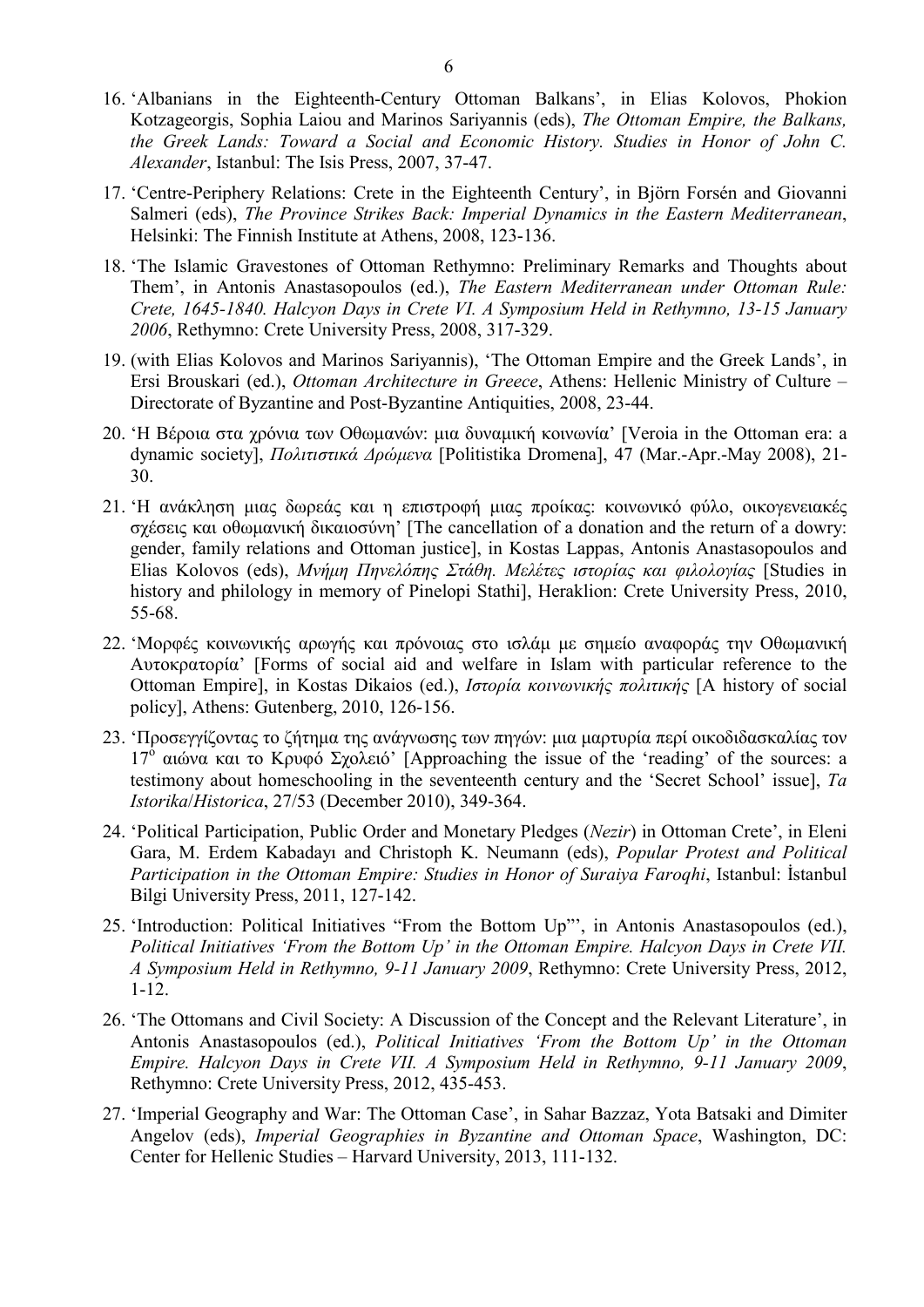- 16. 'Albanians in the Eighteenth-Century Ottoman Balkans', in Elias Kolovos, Phokion Kotzageorgis, Sophia Laiou and Marinos Sariyannis (eds), The Ottoman Empire, the Balkans, the Greek Lands: Toward a Social and Economic History. Studies in Honor of John C. Alexander, Istanbul: The Isis Press, 2007, 37-47.
- 17. 'Centre-Periphery Relations: Crete in the Eighteenth Century', in Björn Forsén and Giovanni Salmeri (eds), The Province Strikes Back: Imperial Dynamics in the Eastern Mediterranean, Helsinki: The Finnish Institute at Athens, 2008, 123-136.
- 18. 'The Islamic Gravestones of Ottoman Rethymno: Preliminary Remarks and Thoughts about Them', in Antonis Anastasopoulos (ed.), The Eastern Mediterranean under Ottoman Rule: Crete, 1645-1840. Halcyon Days in Crete VI. A Symposium Held in Rethymno, 13-15 January 2006, Rethymno: Crete University Press, 2008, 317-329.
- 19. (with Elias Kolovos and Marinos Sariyannis), 'The Ottoman Empire and the Greek Lands', in Ersi Brouskari (ed.), Ottoman Architecture in Greece, Athens: Hellenic Ministry of Culture – Directorate of Byzantine and Post-Byzantine Antiquities, 2008, 23-44.
- 20. 'Η Βέροια στα χρόνια των Οθωμανών: μια δυναμική κοινωνία' [Veroia in the Ottoman era: a dynamic society], Πολιτιστικά Δρώμενα [Politistika Dromena], 47 (Mar.-Apr.-May 2008), 21- 30.
- 21. 'Η ανάκληση μιας δωρεάς και η επιστροφή μιας προίκας: κοινωνικό φύλο, οικογενειακές σχέσεις και οθωμανική δικαιοσύνη' [The cancellation of a donation and the return of a dowry: gender, family relations and Ottoman justice], in Kostas Lappas, Antonis Anastasopoulos and Elias Kolovos (eds), Μνήμη Πηνελόπης Στάθη. Μελέτες ιστορίας και φιλολογίας [Studies in history and philology in memory of Pinelopi Stathi], Heraklion: Crete University Press, 2010, 55-68.
- 22. 'Μορφές κοινωνικής αρωγής και πρόνοιας στο ισλάμ με σημείο αναφοράς την Οθωμανική Αυτοκρατορία' [Forms of social aid and welfare in Islam with particular reference to the Ottoman Empire], in Kostas Dikaios (ed.), Ιστορία κοινωνικής πολιτικής [A history of social policy], Athens: Gutenberg, 2010, 126-156.
- 23. 'Προσεγγίζοντας το ζήτημα της ανάγνωσης των πηγών: μια μαρτυρία περί οικοδιδασκαλίας τον 17<sup>ο</sup> αιώνα και το Κρυφό Σχολειό' [Approaching the issue of the 'reading' of the sources: a testimony about homeschooling in the seventeenth century and the 'Secret School' issue], Ta Istorika/Historica, 27/53 (December 2010), 349-364.
- 24. 'Political Participation, Public Order and Monetary Pledges (Nezir) in Ottoman Crete', in Eleni Gara, M. Erdem Kabadayı and Christoph K. Neumann (eds), Popular Protest and Political Participation in the Ottoman Empire: Studies in Honor of Suraiya Faroqhi, Istanbul: İstanbul Bilgi University Press, 2011, 127-142.
- 25. 'Introduction: Political Initiatives "From the Bottom Up"', in Antonis Anastasopoulos (ed.), Political Initiatives 'From the Bottom Up' in the Ottoman Empire. Halcyon Days in Crete VIΙ. A Symposium Held in Rethymno, 9-11 January 2009, Rethymno: Crete University Press, 2012, 1-12.
- 26. 'The Ottomans and Civil Society: A Discussion of the Concept and the Relevant Literature', in Antonis Anastasopoulos (ed.), Political Initiatives 'From the Bottom Up' in the Ottoman Empire. Halcyon Days in Crete VII. A Symposium Held in Rethymno, 9-11 January 2009, Rethymno: Crete University Press, 2012, 435-453.
- 27. 'Imperial Geography and War: The Ottoman Case', in Sahar Bazzaz, Yota Batsaki and Dimiter Angelov (eds), Imperial Geographies in Byzantine and Ottoman Space, Washington, DC: Center for Hellenic Studies – Harvard University, 2013, 111-132.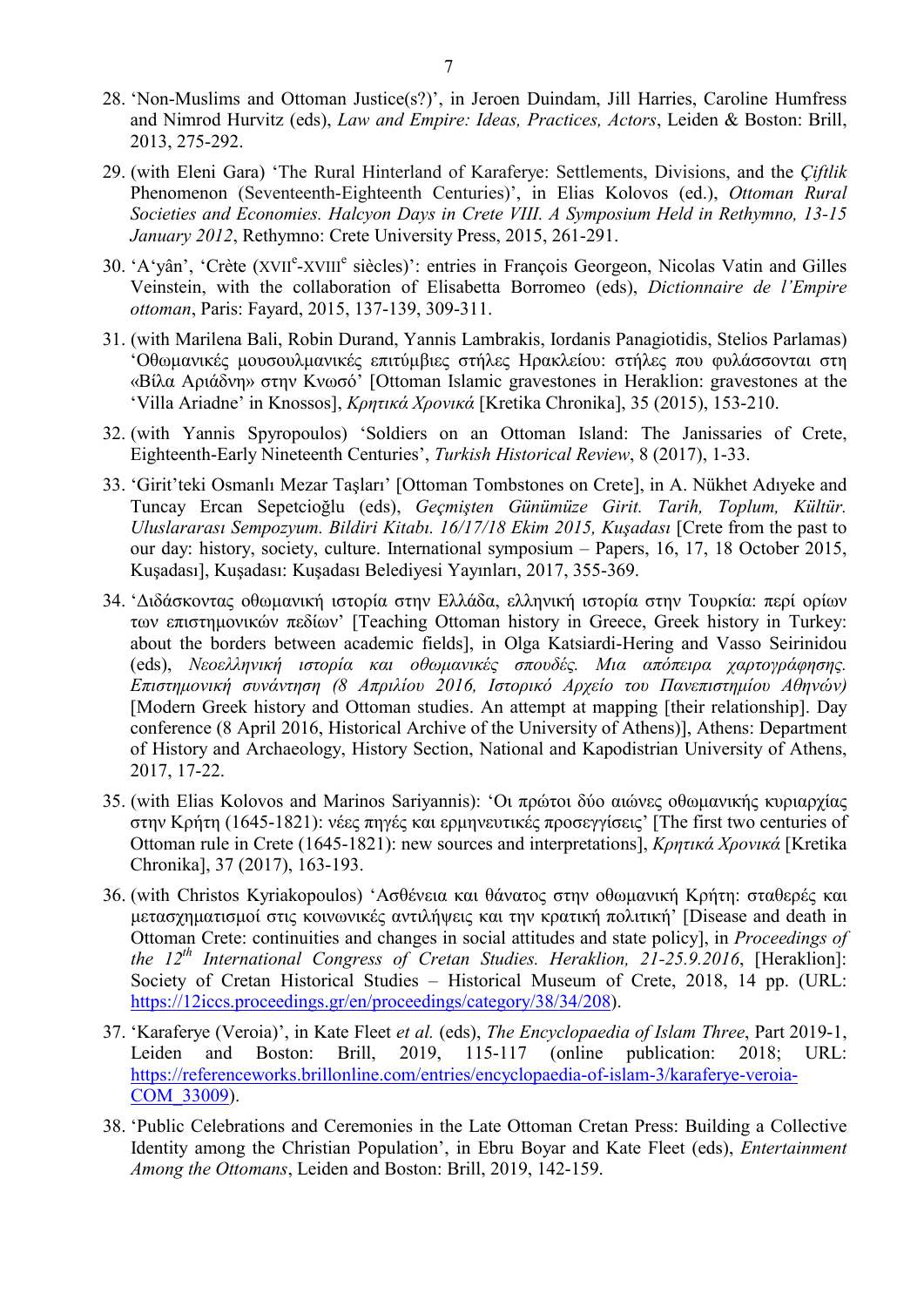- 28. 'Non-Muslims and Ottoman Justice(s?)', in Jeroen Duindam, Jill Harries, Caroline Humfress and Nimrod Hurvitz (eds), Law and Empire: Ideas, Practices, Actors, Leiden & Boston: Brill, 2013, 275-292.
- 29. (with Eleni Gara) 'The Rural Hinterland of Karaferye: Settlements, Divisions, and the *Ciftlik* Phenomenon (Seventeenth-Eighteenth Centuries)', in Elias Kolovos (ed.), Ottoman Rural Societies and Economies. Halcyon Days in Crete VIII. A Symposium Held in Rethymno, 13-15 January 2012, Rethymno: Crete University Press, 2015, 261-291.
- 30. 'A'yân', 'Crète (XVII<sup>e</sup>-XVIII<sup>e</sup> siècles)': entries in François Georgeon, Nicolas Vatin and Gilles Veinstein, with the collaboration of Elisabetta Borromeo (eds), Dictionnaire de l'Empire ottoman, Paris: Fayard, 2015, 137-139, 309-311.
- 31. (with Marilena Bali, Robin Durand, Yannis Lambrakis, Iordanis Panagiotidis, Stelios Parlamas) 'Οθωμανικές μουσουλμανικές επιτύμβιες στήλες Ηρακλείου: στήλες που φυλάσσονται στη «Βίλα Αριάδνη» στην Κνωσό' [Ottoman Islamic gravestones in Heraklion: gravestones at the 'Villa Ariadne' in Knossos], Κρητικά Χρονικά [Kretika Chronika], 35 (2015), 153-210.
- 32. (with Yannis Spyropoulos) 'Soldiers on an Ottoman Island: The Janissaries of Crete, Eighteenth-Early Nineteenth Centuries', Turkish Historical Review, 8 (2017), 1-33.
- 33. 'Girit'teki Osmanlı Mezar Taşları' [Ottoman Tombstones on Crete], in A. Nükhet Adıyeke and Tuncay Ercan Sepetcioğlu (eds), Geçmişten Günümüze Girit. Tarih, Toplum, Kültür. Uluslararası Sempozyum. Bildiri Kitabı. 16/17/18 Ekim 2015, Kuşadası [Crete from the past to our day: history, society, culture. International symposium – Papers, 16, 17, 18 October 2015, Kuşadası], Kuşadası: Kuşadası Belediyesi Yayınları, 2017, 355-369.
- 34. 'Διδάσκοντας οθωμανική ιστορία στην Ελλάδα, ελληνική ιστορία στην Τουρκία: περί ορίων των επιστημονικών πεδίων' [Teaching Ottoman history in Greece, Greek history in Turkey: about the borders between academic fields], in Olga Katsiardi-Hering and Vasso Seirinidou (eds), Νεοελληνική ιστορία και οθωμανικές σπουδές. Μια απόπειρα χαρτογράφησης. Επιστημονική συνάντηση (8 Απριλίου 2016, Ιστορικό Αρχείο του Πανεπιστημίου Αθηνών) [Modern Greek history and Ottoman studies. An attempt at mapping [their relationship]. Day conference (8 April 2016, Historical Archive of the University of Athens)], Athens: Department of History and Archaeology, History Section, National and Kapodistrian University of Athens, 2017, 17-22.
- 35. (with Elias Kolovos and Marinos Sariyannis): 'Οι πρώτοι δύο αιώνες οθωμανικής κυριαρχίας στην Κρήτη (1645-1821): νέες πηγές και ερμηνευτικές προσεγγίσεις' [The first two centuries of Ottoman rule in Crete (1645-1821): new sources and interpretations], Κρητικά Χρονικά [Kretika Chronika], 37 (2017), 163-193.
- 36. (with Christos Kyriakopoulos) 'Ασθένεια και θάνατος στην οθωμανική Κρήτη: σταθερές και μετασχηματισμοί στις κοινωνικές αντιλήψεις και την κρατική πολιτική' [Disease and death in Ottoman Crete: continuities and changes in social attitudes and state policy], in Proceedings of the  $12^{th}$  International Congress of Cretan Studies. Heraklion, 21-25.9.2016, [Heraklion]: Society of Cretan Historical Studies – Historical Museum of Crete, 2018, 14 pp. (URL: https://12iccs.proceedings.gr/en/proceedings/category/38/34/208).
- 37. 'Karaferye (Veroia)', in Kate Fleet et al. (eds), The Encyclopaedia of Islam Three, Part 2019-1, Leiden and Boston: Brill, 2019, 115-117 (online publication: 2018; URL: https://referenceworks.brillonline.com/entries/encyclopaedia-of-islam-3/karaferye-veroia-COM\_33009).
- 38. 'Public Celebrations and Ceremonies in the Late Ottoman Cretan Press: Building a Collective Identity among the Christian Population', in Ebru Boyar and Kate Fleet (eds), Entertainment Among the Ottomans, Leiden and Boston: Brill, 2019, 142-159.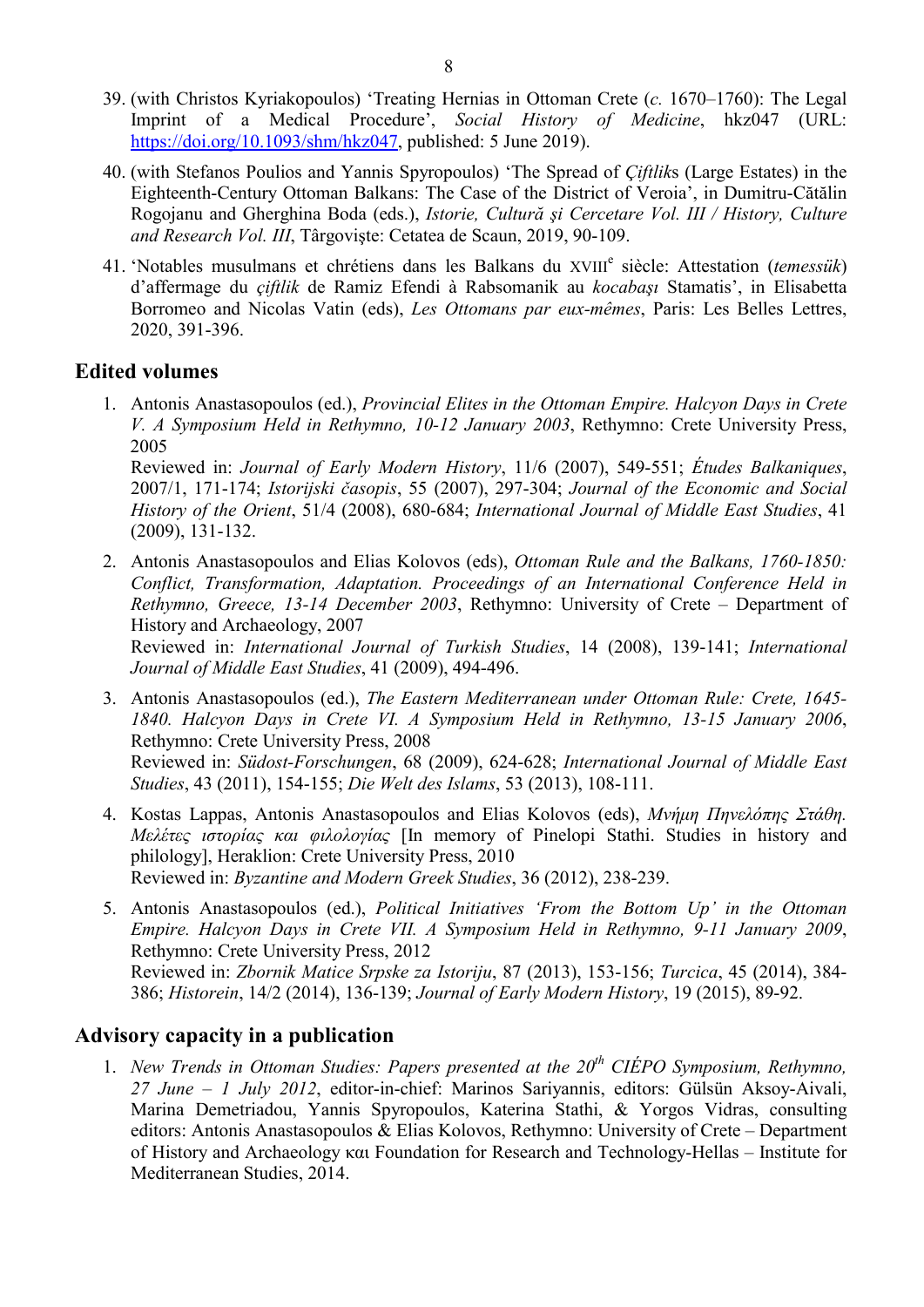- 39. (with Christos Kyriakopoulos) 'Treating Hernias in Ottoman Crete (c. 1670–1760): The Legal Imprint of a Medical Procedure', Social History of Medicine, hkz047 (URL: https://doi.org/10.1093/shm/hkz047, published: 5 June 2019).
- 40. (with Stefanos Poulios and Yannis Spyropoulos) 'The Spread of *Ciftliks* (Large Estates) in the Eighteenth-Century Ottoman Balkans: The Case of the District of Veroia', in Dumitru-Cătălin Rogojanu and Gherghina Boda (eds.), Istorie, Cultură şi Cercetare Vol. III / History, Culture and Research Vol. III, Târgovişte: Cetatea de Scaun, 2019, 90-109.
- 41. 'Notables musulmans et chrétiens dans les Balkans du XVIII<sup>e</sup> siècle: Attestation (temessük) d'affermage du çiftlik de Ramiz Efendi à Rabsomanik au kocabaşı Stamatis', in Elisabetta Borromeo and Nicolas Vatin (eds), Les Ottomans par eux-mêmes, Paris: Les Belles Lettres, 2020, 391-396.

# Edited volumes

1. Antonis Anastasopoulos (ed.), Provincial Elites in the Ottoman Empire. Halcyon Days in Crete V. A Symposium Held in Rethymno, 10-12 January 2003, Rethymno: Crete University Press, 2005

Reviewed in: Journal of Early Modern History, 11/6 (2007), 549-551; Études Balkaniques, 2007/1, 171-174; Istorijski časopis, 55 (2007), 297-304; Journal of the Economic and Social History of the Orient, 51/4 (2008), 680-684; International Journal of Middle East Studies, 41 (2009), 131-132.

2. Antonis Anastasopoulos and Elias Kolovos (eds), Ottoman Rule and the Balkans, 1760-1850: Conflict, Transformation, Adaptation. Proceedings of an International Conference Held in Rethymno, Greece, 13-14 December 2003, Rethymno: University of Crete – Department of History and Archaeology, 2007

Reviewed in: International Journal of Turkish Studies, 14 (2008), 139-141; International Journal of Middle East Studies, 41 (2009), 494-496.

- 3. Antonis Anastasopoulos (ed.), The Eastern Mediterranean under Ottoman Rule: Crete, 1645- 1840. Halcyon Days in Crete VI. A Symposium Held in Rethymno, 13-15 January 2006, Rethymno: Crete University Press, 2008 Reviewed in: Südost-Forschungen, 68 (2009), 624-628; International Journal of Middle East Studies, 43 (2011), 154-155; Die Welt des Islams, 53 (2013), 108-111.
- 4. Kostas Lappas, Antonis Anastasopoulos and Elias Kolovos (eds), Μνήμη Πηνελόπης Στάθη. Μελέτες ιστορίας και φιλολογίας [In memory of Pinelopi Stathi. Studies in history and philology], Heraklion: Crete University Press, 2010 Reviewed in: Byzantine and Modern Greek Studies, 36 (2012), 238-239.
- 5. Antonis Anastasopoulos (ed.), Political Initiatives 'From the Bottom Up' in the Ottoman Empire. Halcyon Days in Crete VII. A Symposium Held in Rethymno, 9-11 January 2009, Rethymno: Crete University Press, 2012 Reviewed in: Zbornik Matice Srpske za Istoriju, 87 (2013), 153-156; Turcica, 45 (2014), 384- 386; Historein, 14/2 (2014), 136-139; Journal of Early Modern History, 19 (2015), 89-92.

### Advisory capacity in a publication

1. New Trends in Ottoman Studies: Papers presented at the  $20<sup>th</sup>$  CIÉPO Symposium, Rethymno, 27 June – 1 July 2012, editor-in-chief: Marinos Sariyannis, editors: Gülsün Aksoy-Aivali, Marina Demetriadou, Yannis Spyropoulos, Katerina Stathi, & Yorgos Vidras, consulting editors: Antonis Anastasopoulos & Elias Kolovos, Rethymno: University of Crete – Department of History and Archaeology και Foundation for Research and Technology-Hellas – Institute for Mediterranean Studies, 2014.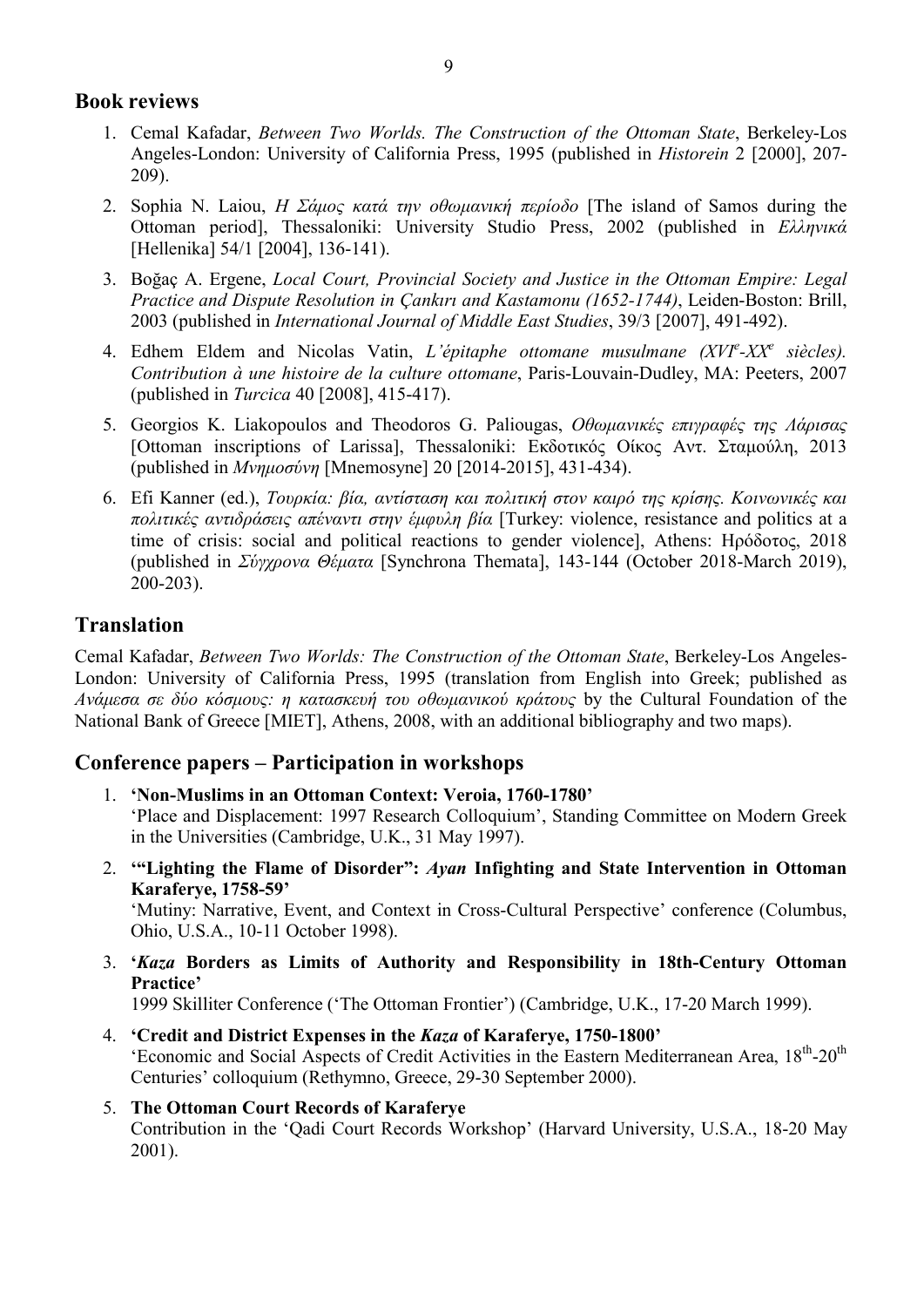# Book reviews

- 1. Cemal Kafadar, Between Two Worlds. The Construction of the Ottoman State, Berkeley-Los Angeles-London: University of California Press, 1995 (published in Historein 2 [2000], 207- 209).
- 2. Sophia N. Laiou, Η Σάμος κατά την οθωμανική περίοδο [The island of Samos during the Ottoman period], Thessaloniki: University Studio Press, 2002 (published in Ελληνικά [Hellenika] 54/1 [2004], 136-141).
- 3. Boğaç A. Ergene, Local Court, Provincial Society and Justice in the Ottoman Empire: Legal Practice and Dispute Resolution in Çankırı and Kastamonu (1652-1744), Leiden-Boston: Brill, 2003 (published in International Journal of Middle East Studies, 39/3 [2007], 491-492).
- 4. Edhem Eldem and Nicolas Vatin, L'épitaphe ottomane musulmane  $(XVI^e XX^e$  siècles). Contribution à une histoire de la culture ottomane, Paris-Louvain-Dudley, MA: Peeters, 2007 (published in Turcica 40 [2008], 415-417).
- 5. Georgios K. Liakopoulos and Theodoros G. Paliougas, Οθωμανικές επιγραφές της Λάρισας [Ottoman inscriptions of Larissa], Thessaloniki: Εκδοτικός Οίκος Αντ. Σταμούλη, 2013 (published in Μνημοσύνη [Mnemosyne] 20 [2014-2015], 431-434).
- 6. Efi Kanner (ed.), Τουρκία: βία, αντίσταση και πολιτική στον καιρό της κρίσης. Κοινωνικές και πολιτικές αντιδράσεις απέναντι στην έμφυλη βία [Turkey: violence, resistance and politics at a time of crisis: social and political reactions to gender violence], Athens: Ηρόδοτος, 2018 (published in Σύγχρονα Θέματα [Synchrona Themata], 143-144 (October 2018-March 2019), 200-203).

# Translation

Cemal Kafadar, Between Two Worlds: The Construction of the Ottoman State, Berkeley-Los Angeles-London: University of California Press, 1995 (translation from English into Greek; published as Ανάμεσα σε δύο κόσμους: η κατασκευή του οθωμανικού κράτους by the Cultural Foundation of the National Bank of Greece [MIET], Athens, 2008, with an additional bibliography and two maps).

# Conference papers – Participation in workshops

- 1. 'Non-Muslims in an Ottoman Context: Veroia, 1760-1780' 'Place and Displacement: 1997 Research Colloquium', Standing Committee on Modern Greek in the Universities (Cambridge, U.K., 31 May 1997).
- 2. '"Lighting the Flame of Disorder": Ayan Infighting and State Intervention in Ottoman Karaferye, 1758-59' 'Mutiny: Narrative, Event, and Context in Cross-Cultural Perspective' conference (Columbus, Ohio, U.S.A., 10-11 October 1998).
- 3. 'Kaza Borders as Limits of Authority and Responsibility in 18th-Century Ottoman Practice'

1999 Skilliter Conference ('The Ottoman Frontier') (Cambridge, U.K., 17-20 March 1999).

- 4. 'Credit and District Expenses in the Kaza of Karaferye, 1750-1800' 'Economic and Social Aspects of Credit Activities in the Eastern Mediterranean Area, 18<sup>th</sup>-20<sup>th</sup> Centuries' colloquium (Rethymno, Greece, 29-30 September 2000).
- 5. The Ottoman Court Records of Karaferye Contribution in the 'Qadi Court Records Workshop' (Harvard University, U.S.A., 18-20 May 2001).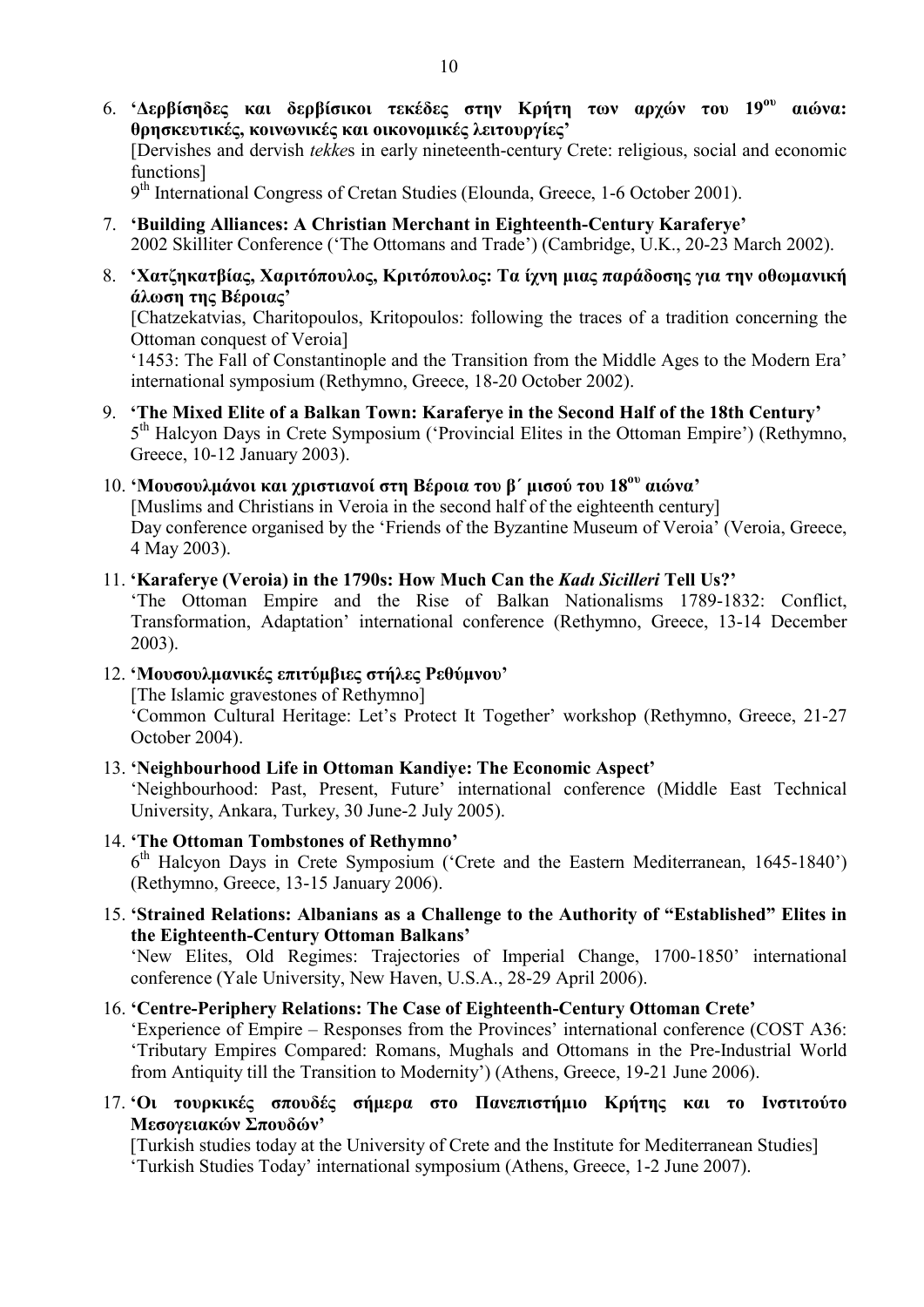- 6. 'Δερβίσηδες και δερβίσικοι τεκέδες στην Κρήτη των αργών του 19<sup>ου</sup> αιώνα: θρησκευτικές, κοινωνικές και οικονομικές λειτουργίες' [Dervishes and dervish tekkes in early nineteenth-century Crete: religious, social and economic functions] 9<sup>th</sup> International Congress of Cretan Studies (Elounda, Greece, 1-6 October 2001).
- 7. 'Building Alliances: A Christian Merchant in Eighteenth-Century Karaferye' 2002 Skilliter Conference ('The Ottomans and Trade') (Cambridge, U.K., 20-23 March 2002).
- 8. 'Χατζηκατβίας, Χαριτόπουλος, Κριτόπουλος: Τα ίχνη μιας παράδοσης για την οθωμανική άλωση της Βέροιας'

[Chatzekatvias, Charitopoulos, Kritopoulos: following the traces of a tradition concerning the Ottoman conquest of Veroia]

'1453: The Fall of Constantinople and the Transition from the Middle Ages to the Modern Era' international symposium (Rethymno, Greece, 18-20 October 2002).

9. 'The Mixed Elite of a Balkan Town: Karaferye in the Second Half of the 18th Century' 5<sup>th</sup> Halcyon Days in Crete Symposium ('Provincial Elites in the Ottoman Empire') (Rethymno, Greece, 10-12 January 2003).

#### 10. 'Μουσουλμάνοι και χριστιανοί στη Βέροια του β΄ μισού του  $18^{\text{ov}}$  αιώνα'

[Muslims and Christians in Veroia in the second half of the eighteenth century] Day conference organised by the 'Friends of the Byzantine Museum of Veroia' (Veroia, Greece, 4 May 2003).

#### 11. 'Karaferye (Veroia) in the 1790s: How Much Can the Kadı Sicilleri Tell Us?'

'The Ottoman Empire and the Rise of Balkan Nationalisms 1789-1832: Conflict, Transformation, Adaptation' international conference (Rethymno, Greece, 13-14 December 2003).

12. 'Μουσουλμανικές επιτύμβιες στήλες Ρεθύμνου'

[The Islamic gravestones of Rethymno]

'Common Cultural Heritage: Let's Protect It Together' workshop (Rethymno, Greece, 21-27 October 2004).

13. 'Neighbourhood Life in Ottoman Kandiye: The Economic Aspect'

'Neighbourhood: Past, Present, Future' international conference (Middle East Technical University, Ankara, Turkey, 30 June-2 July 2005).

- 14. 'The Ottoman Tombstones of Rethymno' 6 th Halcyon Days in Crete Symposium ('Crete and the Eastern Mediterranean, 1645-1840') (Rethymno, Greece, 13-15 January 2006).
- 15. 'Strained Relations: Albanians as a Challenge to the Authority of "Established" Elites in the Eighteenth-Century Ottoman Balkans'

'New Elites, Old Regimes: Trajectories of Imperial Change, 1700-1850' international conference (Yale University, New Haven, U.S.A., 28-29 April 2006).

### 16. 'Centre-Periphery Relations: The Case of Eighteenth-Century Ottoman Crete'

'Experience of Empire – Responses from the Provinces' international conference (COST Α36: 'Tributary Empires Compared: Romans, Mughals and Ottomans in the Pre-Industrial World from Antiquity till the Transition to Modernity') (Athens, Greece, 19-21 June 2006).

17. 'Οι τουρκικές σπουδές σήμερα στο Πανεπιστήμιο Κρήτης και το Ινστιτούτο Μεσογειακών Σπουδών'

[Turkish studies today at the University of Crete and the Institute for Mediterranean Studies] 'Turkish Studies Today' international symposium (Athens, Greece, 1-2 June 2007).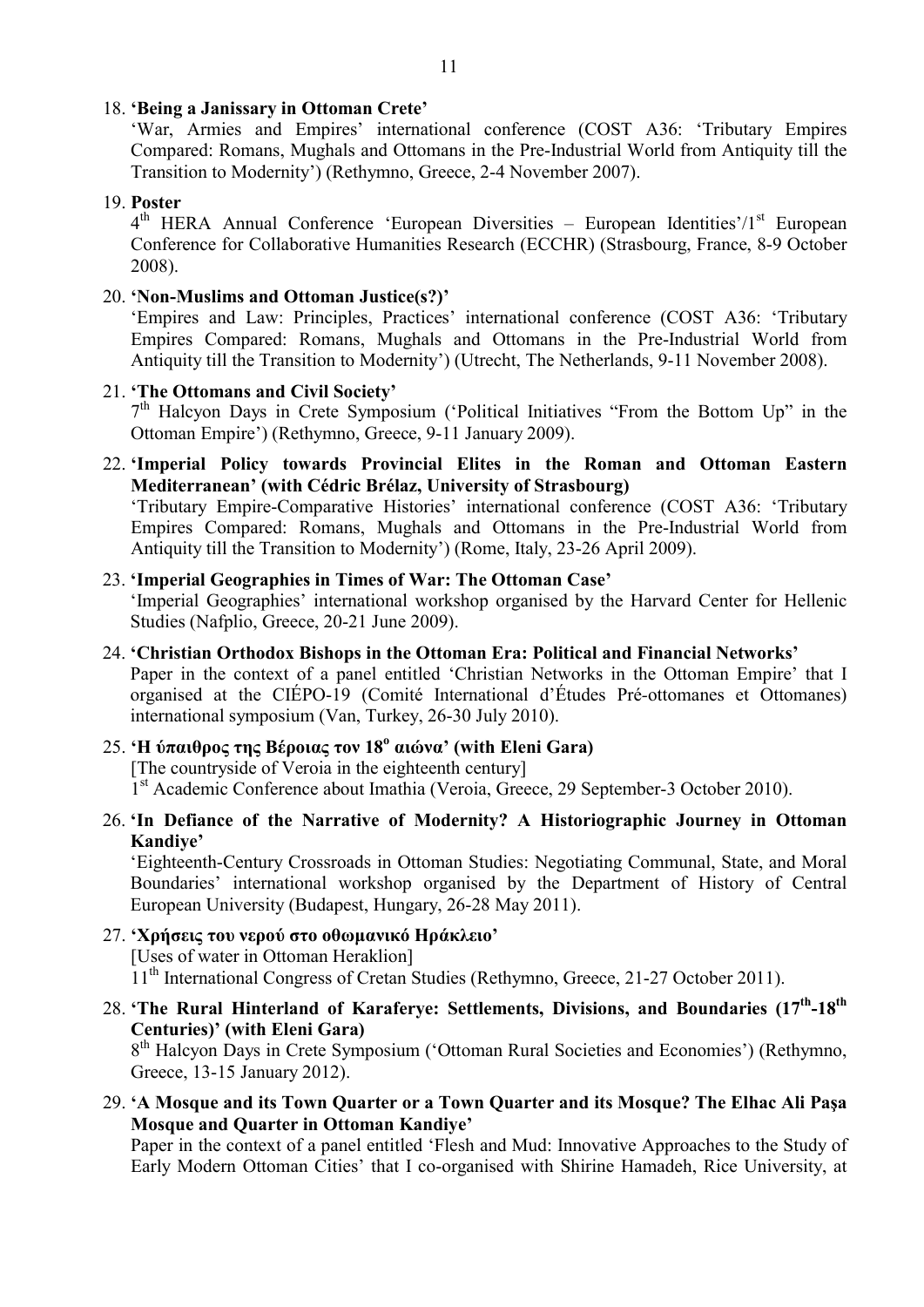#### 18. 'Being a Janissary in Ottoman Crete'

'War, Armies and Empires' international conference (COST Α36: 'Tributary Empires Compared: Romans, Mughals and Ottomans in the Pre-Industrial World from Antiquity till the Transition to Modernity') (Rethymno, Greece, 2-4 November 2007).

### 19. Poster

4<sup>th</sup> HERA Annual Conference 'European Diversities – European Identities'/1<sup>st</sup> European Conference for Collaborative Humanities Research (ECCHR) (Strasbourg, France, 8-9 October 2008).

### 20. 'Non-Muslims and Ottoman Justice(s?)'

'Empires and Law: Principles, Practices' international conference (COST Α36: 'Tributary Empires Compared: Romans, Mughals and Ottomans in the Pre-Industrial World from Antiquity till the Transition to Modernity') (Utrecht, The Netherlands, 9-11 November 2008).

# 21. 'The Ottomans and Civil Society'

7<sup>th</sup> Halcyon Days in Crete Symposium ('Political Initiatives "From the Bottom Up" in the Ottoman Empire') (Rethymno, Greece, 9-11 January 2009).

22. 'Imperial Policy towards Provincial Elites in the Roman and Ottoman Eastern Mediterranean' (with Cédric Brélaz, University of Strasbourg)

'Tributary Empire-Comparative Histories' international conference (COST Α36: 'Tributary Empires Compared: Romans, Mughals and Ottomans in the Pre-Industrial World from Antiquity till the Transition to Modernity') (Rome, Italy, 23-26 April 2009).

### 23. 'Imperial Geographies in Times of War: The Ottoman Case'

'Imperial Geographies' international workshop organised by the Harvard Center for Hellenic Studies (Nafplio, Greece, 20-21 June 2009).

# 24. 'Christian Orthodox Bishops in the Ottoman Era: Political and Financial Networks' Paper in the context of a panel entitled 'Christian Networks in the Ottoman Empire' that I organised at the CIÉPO-19 (Comité International d'Études Pré-ottomanes et Ottomanes) international symposium (Van, Turkey, 26-30 July 2010).

# 25. Η ύπαιθρος της Βέροιας τον 18<sup>ο</sup> αιώνα' (with Eleni Gara) [The countryside of Veroia in the eighteenth century] <sup>1st</sup> Academic Conference about Imathia (Veroia, Greece, 29 September-3 October 2010).

26. 'In Defiance of the Narrative of Modernity? A Historiographic Journey in Ottoman Kandiye'

'Eighteenth-Century Crossroads in Ottoman Studies: Negotiating Communal, State, and Moral Boundaries' international workshop organised by the Department of History of Central European University (Budapest, Hungary, 26-28 May 2011).

- 27. 'Χρήσεις του νερού στο οθωμανικό Ηράκλειο' [Uses of water in Ottoman Heraklion]  $11<sup>th</sup>$  International Congress of Cretan Studies (Rethymno, Greece, 21-27 October 2011).
- 28. 'The Rural Hinterland of Karaferye: Settlements, Divisions, and Boundaries  $(17<sup>th</sup>-18<sup>th</sup>$ Centuries)' (with Eleni Gara)

8<sup>th</sup> Halcyon Days in Crete Symposium ('Ottoman Rural Societies and Economies') (Rethymno, Greece, 13-15 January 2012).

29. 'A Mosque and its Town Quarter or a Town Quarter and its Mosque? The Elhac Ali Paşa Mosque and Quarter in Ottoman Kandiye'

Paper in the context of a panel entitled 'Flesh and Mud: Innovative Approaches to the Study of Early Modern Ottoman Cities' that I co-organised with Shirine Hamadeh, Rice University, at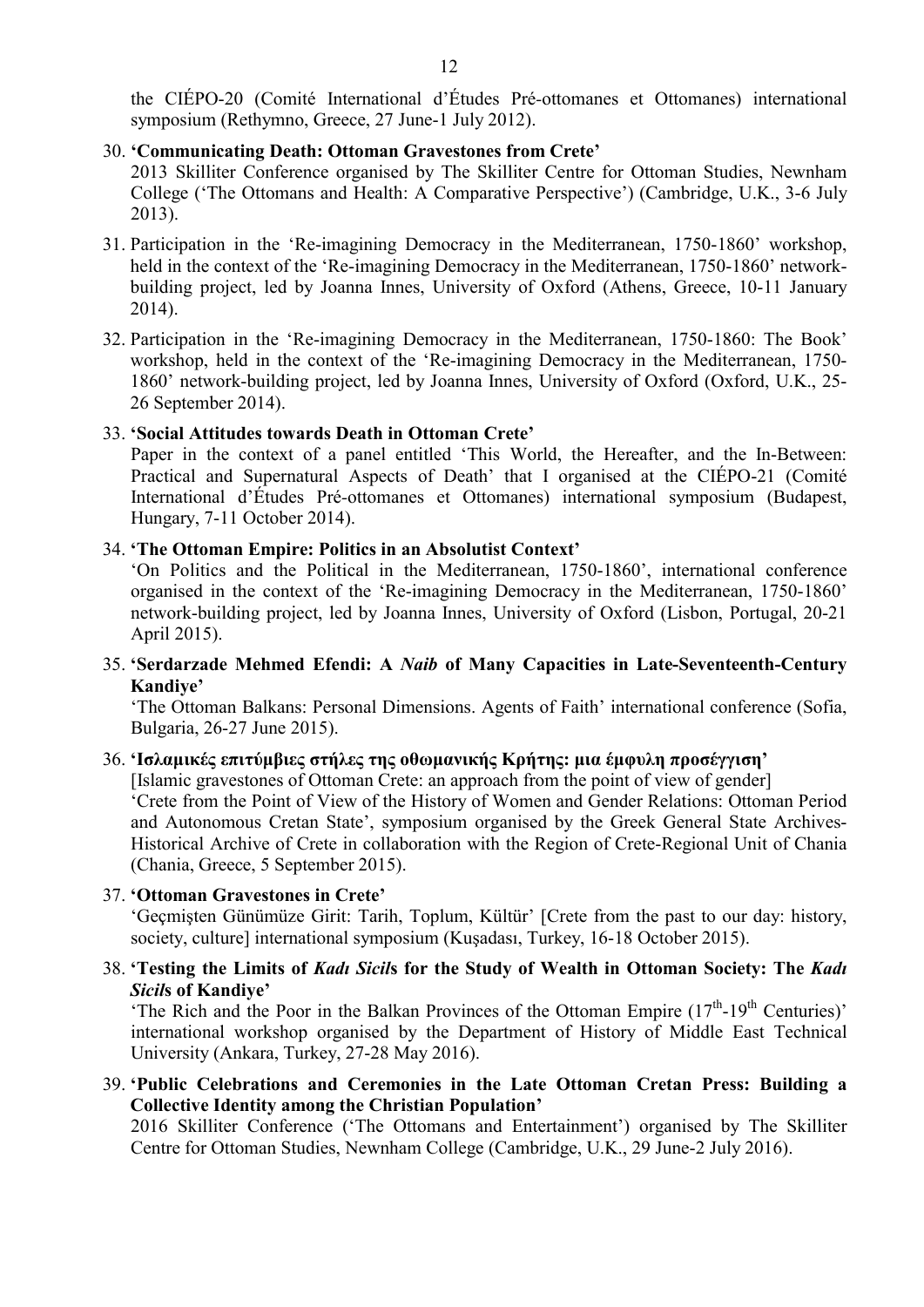the CIÉPO-20 (Comité International d'Études Pré-ottomanes et Ottomanes) international symposium (Rethymno, Greece, 27 June-1 July 2012).

#### 30. 'Communicating Death: Ottoman Gravestones from Crete'

2013 Skilliter Conference organised by The Skilliter Centre for Ottoman Studies, Newnham College ('The Ottomans and Health: A Comparative Perspective') (Cambridge, U.K., 3-6 July 2013).

- 31. Participation in the 'Re-imagining Democracy in the Mediterranean, 1750-1860' workshop, held in the context of the 'Re-imagining Democracy in the Mediterranean, 1750-1860' networkbuilding project, led by Joanna Innes, University of Oxford (Athens, Greece, 10-11 January 2014).
- 32. Participation in the 'Re-imagining Democracy in the Mediterranean, 1750-1860: The Book' workshop, held in the context of the 'Re-imagining Democracy in the Mediterranean, 1750- 1860' network-building project, led by Joanna Innes, University of Oxford (Oxford, U.K., 25- 26 September 2014).

#### 33. 'Social Attitudes towards Death in Ottoman Crete'

Paper in the context of a panel entitled 'This World, the Hereafter, and the In-Between: Practical and Supernatural Aspects of Death' that I organised at the CIÉPO-21 (Comité International d'Études Pré-ottomanes et Ottomanes) international symposium (Budapest, Hungary, 7-11 October 2014).

#### 34. 'The Ottoman Empire: Politics in an Absolutist Context'

'On Politics and the Political in the Mediterranean, 1750-1860', international conference organised in the context of the 'Re-imagining Democracy in the Mediterranean, 1750-1860' network-building project, led by Joanna Innes, University of Oxford (Lisbon, Portugal, 20-21 April 2015).

35. 'Serdarzade Mehmed Efendi: A Naib of Many Capacities in Late-Seventeenth-Century Kandiye'

'The Ottoman Balkans: Personal Dimensions. Agents of Faith' international conference (Sofia, Bulgaria, 26-27 June 2015).

### 36. 'Ισλαμικές επιτύμβιες στήλες της οθωμανικής Κρήτης: μια έμφυλη προσέγγιση'

[Islamic gravestones of Ottoman Crete: an approach from the point of view of gender] 'Crete from the Point of View of the History of Women and Gender Relations: Ottoman Period and Autonomous Cretan State', symposium organised by the Greek General State Archives-Historical Archive of Crete in collaboration with the Region of Crete-Regional Unit of Chania (Chania, Greece, 5 September 2015).

#### 37. 'Ottoman Gravestones in Crete'

'Geçmişten Günümüze Girit: Tarih, Toplum, Kültür' [Crete from the past to our day: history, society, culture] international symposium (Kuşadası, Turkey, 16-18 October 2015).

#### 38. 'Testing the Limits of Kadı Sicils for the Study of Wealth in Ottoman Society: The Kadı Sicils of Kandiye'

'The Rich and the Poor in the Balkan Provinces of the Ottoman Empire  $(17<sup>th</sup>-19<sup>th</sup>$  Centuries)' international workshop organised by the Department of History of Middle East Technical University (Ankara, Turkey, 27-28 May 2016).

39. 'Public Celebrations and Ceremonies in the Late Ottoman Cretan Press: Building a Collective Identity among the Christian Population'

2016 Skilliter Conference ('The Ottomans and Entertainment') organised by The Skilliter Centre for Ottoman Studies, Newnham College (Cambridge, U.K., 29 June-2 July 2016).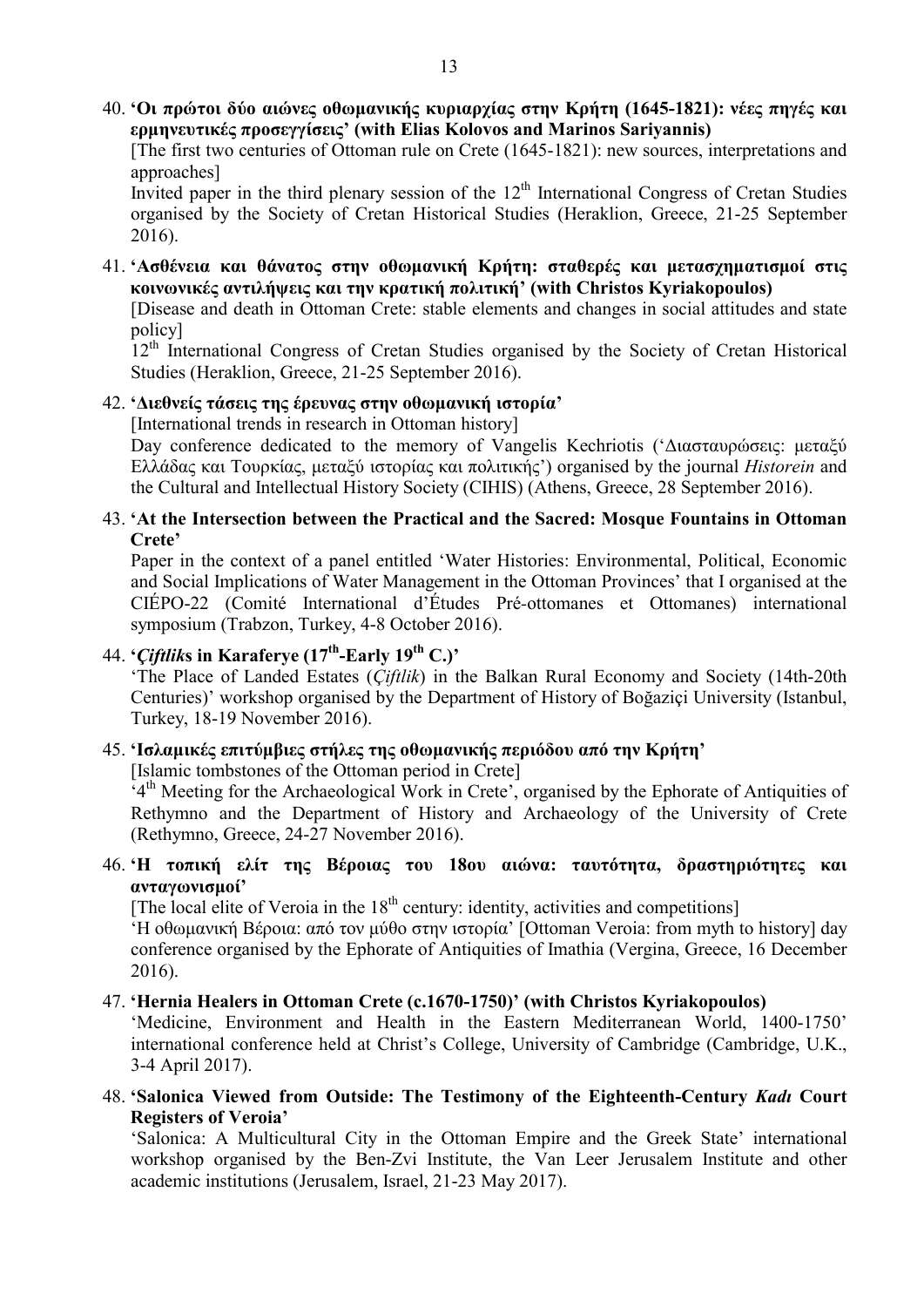40. 'Οι πρώτοι δύο αιώνες οθωμανικής κυριαρχίας στην Κρήτη (1645-1821): νέες πηγές και ερμηνευτικές προσεγγίσεις' (with Elias Kolovos and Marinos Sariyannis)

[The first two centuries of Ottoman rule on Crete (1645-1821): new sources, interpretations and approaches]

Invited paper in the third plenary session of the  $12<sup>th</sup>$  International Congress of Cretan Studies organised by the Society of Cretan Historical Studies (Heraklion, Greece, 21-25 September 2016).

41. 'Ασθένεια και θάνατος στην οθωμανική Κρήτη: σταθερές και μετασχηματισμοί στις κοινωνικές αντιλήψεις και την κρατική πολιτική' (with Christos Kyriakopoulos)

[Disease and death in Ottoman Crete: stable elements and changes in social attitudes and state policy]

12<sup>th</sup> International Congress of Cretan Studies organised by the Society of Cretan Historical Studies (Heraklion, Greece, 21-25 September 2016).

#### 42. 'Διεθνείς τάσεις της έρευνας στην οθωμανική ιστορία'

[International trends in research in Ottoman history]

Day conference dedicated to the memory of Vangelis Kechriotis ('Διασταυρώσεις: μεταξύ Ελλάδας και Τουρκίας, μεταξύ ιστορίας και πολιτικής') organised by the journal Historein and the Cultural and Intellectual History Society (CIHIS) (Athens, Greece, 28 September 2016).

#### 43. 'At the Intersection between the Practical and the Sacred: Mosque Fountains in Ottoman Crete'

Paper in the context of a panel entitled 'Water Histories: Environmental, Political, Economic and Social Implications of Water Management in the Ottoman Provinces' that I organised at the CIÉPO-22 (Comité International d'Études Pré-ottomanes et Ottomanes) international symposium (Trabzon, Turkey, 4-8 October 2016).

# 44. 'Ciftliks in Karaferye  $(17<sup>th</sup>$ -Early  $19<sup>th</sup>$  C.)'

'The Place of Landed Estates (*Ciftlik*) in the Balkan Rural Economy and Society (14th-20th Centuries)' workshop organised by the Department of History of Boğaziçi University (Istanbul, Turkey, 18-19 November 2016).

#### 45. 'Ισλαμικές επιτύμβιες στήλες της οθωμανικής περιόδου από την Κρήτη'

[Islamic tombstones of the Ottoman period in Crete]

 $4<sup>th</sup>$  Meeting for the Archaeological Work in Crete', organised by the Ephorate of Antiquities of Rethymno and the Department of History and Archaeology of the University of Crete (Rethymno, Greece, 24-27 November 2016).

### 46. 'Η τοπική ελίτ της Βέροιας του 18ου αιώνα: ταυτότητα, δραστηριότητες και ανταγωνισμοί'

[The local elite of Veroia in the  $18<sup>th</sup>$  century: identity, activities and competitions]

'Η οθωμανική Βέροια: από τον μύθο στην ιστορία' [Ottoman Veroia: from myth to history] day conference organised by the Ephorate of Antiquities of Imathia (Vergina, Greece, 16 December 2016).

#### 47. 'Hernia Healers in Ottoman Crete (c.1670-1750)' (with Christos Kyriakopoulos)

'Medicine, Environment and Health in the Eastern Mediterranean World, 1400-1750' international conference held at Christ's College, University of Cambridge (Cambridge, U.K., 3-4 April 2017).

48. 'Salonica Viewed from Outside: The Testimony of the Eighteenth-Century Kadı Court Registers of Veroia'

'Salonica: A Multicultural City in the Ottoman Empire and the Greek State' international workshop organised by the Ben-Zvi Institute, the Van Leer Jerusalem Institute and other academic institutions (Jerusalem, Israel, 21-23 May 2017).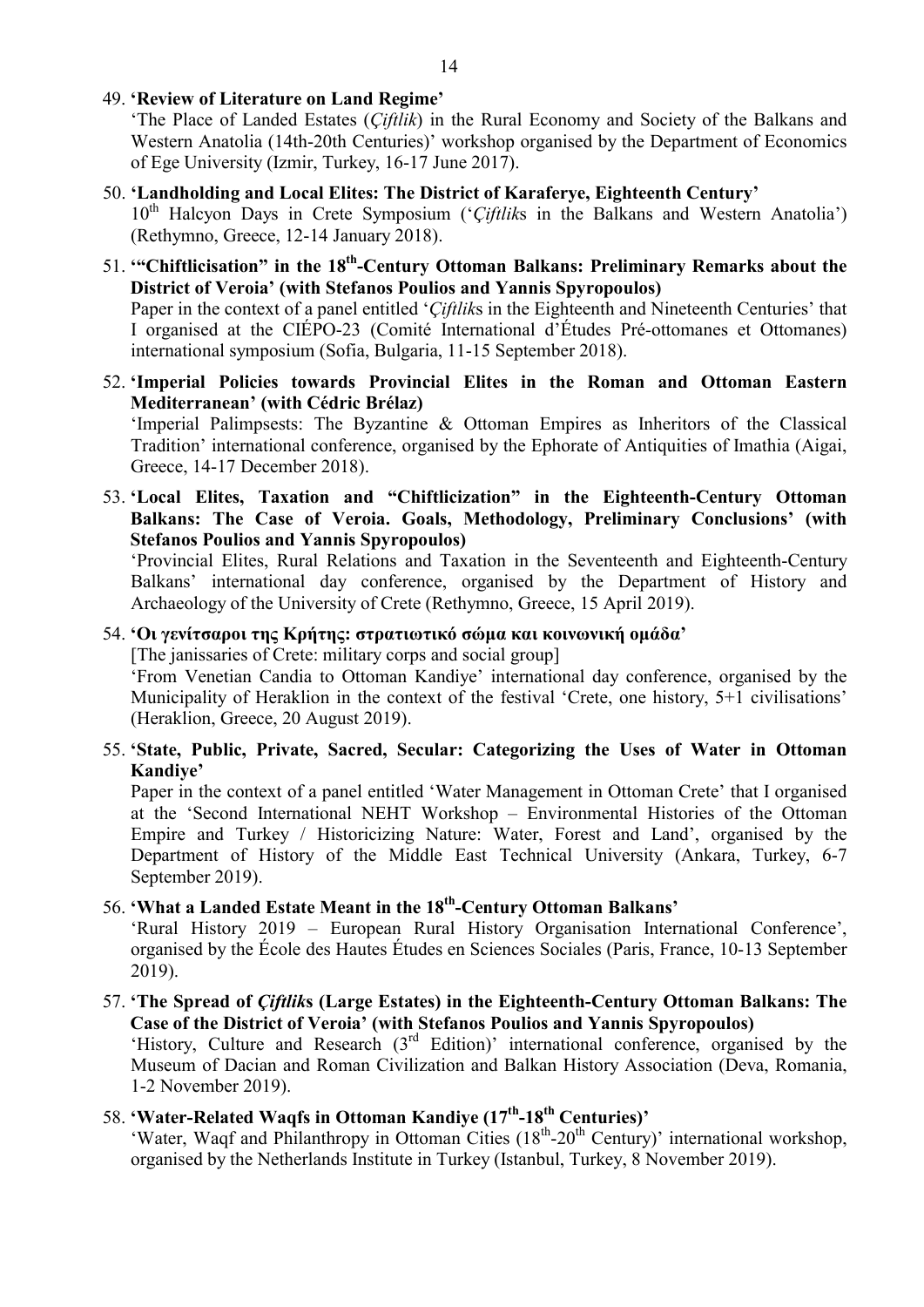49. 'Review of Literature on Land Regime'

'The Place of Landed Estates (Çiftlik) in the Rural Economy and Society of the Balkans and Western Anatolia (14th-20th Centuries)' workshop organised by the Department of Economics of Ege University (Izmir, Turkey, 16-17 June 2017).

- 50. 'Landholding and Local Elites: The District of Karaferye, Eighteenth Century'  $10<sup>th</sup>$  Halcyon Days in Crete Symposium ('Ciftliks in the Balkans and Western Anatolia') (Rethymno, Greece, 12-14 January 2018).
- 51. "Chiftlicisation" in the 18<sup>th</sup>-Century Ottoman Balkans: Preliminary Remarks about the District of Veroia' (with Stefanos Poulios and Yannis Spyropoulos)

Paper in the context of a panel entitled 'Ciftliks in the Eighteenth and Nineteenth Centuries' that I organised at the CIÉPO-23 (Comité International d'Études Pré-ottomanes et Ottomanes) international symposium (Sofia, Bulgaria, 11-15 September 2018).

52. 'Imperial Policies towards Provincial Elites in the Roman and Ottoman Eastern Mediterranean' (with Cédric Brélaz)

'Imperial Palimpsests: The Byzantine & Ottoman Empires as Inheritors of the Classical Tradition' international conference, organised by the Ephorate of Antiquities of Imathia (Aigai, Greece, 14-17 December 2018).

53. 'Local Elites, Taxation and "Chiftlicization" in the Eighteenth-Century Ottoman Balkans: The Case of Veroia. Goals, Methodology, Preliminary Conclusions' (with Stefanos Poulios and Yannis Spyropoulos)

'Provincial Elites, Rural Relations and Taxation in the Seventeenth and Eighteenth-Century Balkans' international day conference, organised by the Department of History and Archaeology of the University of Crete (Rethymno, Greece, 15 April 2019).

#### 54. 'Οι γενίτσαροι της Κρήτης: στρατιωτικό σώμα και κοινωνική ομάδα'

[The janissaries of Crete: military corps and social group]

'From Venetian Candia to Ottoman Kandiye' international day conference, organised by the Municipality of Heraklion in the context of the festival 'Crete, one history, 5+1 civilisations' (Heraklion, Greece, 20 August 2019).

55. 'State, Public, Private, Sacred, Secular: Categorizing the Uses of Water in Ottoman Kandiye'

Paper in the context of a panel entitled 'Water Management in Ottoman Crete' that I organised at the 'Second International NEHT Workshop – Environmental Histories of the Ottoman Empire and Turkey / Historicizing Nature: Water, Forest and Land', organised by the Department of History of the Middle East Technical University (Ankara, Turkey, 6-7 September 2019).

56. 'What a Landed Estate Meant in the 18<sup>th</sup>-Century Ottoman Balkans'

'Rural History 2019 – European Rural History Organisation International Conference', organised by the École des Hautes Études en Sciences Sociales (Paris, France, 10-13 September 2019).

57. 'The Spread of Çiftliks (Large Estates) in the Eighteenth-Century Ottoman Balkans: The Case of the District of Veroia' (with Stefanos Poulios and Yannis Spyropoulos) 'History, Culture and Research (3rd Edition)' international conference, organised by the Museum of Dacian and Roman Civilization and Balkan History Association (Deva, Romania, 1-2 November 2019).

# 58. 'Water-Related Waqfs in Ottoman Kandiye (17<sup>th</sup>-18<sup>th</sup> Centuries)'

'Water, Waqf and Philanthropy in Ottoman Cities (18<sup>th</sup>-20<sup>th</sup> Century)' international workshop, organised by the Netherlands Institute in Turkey (Istanbul, Turkey, 8 November 2019).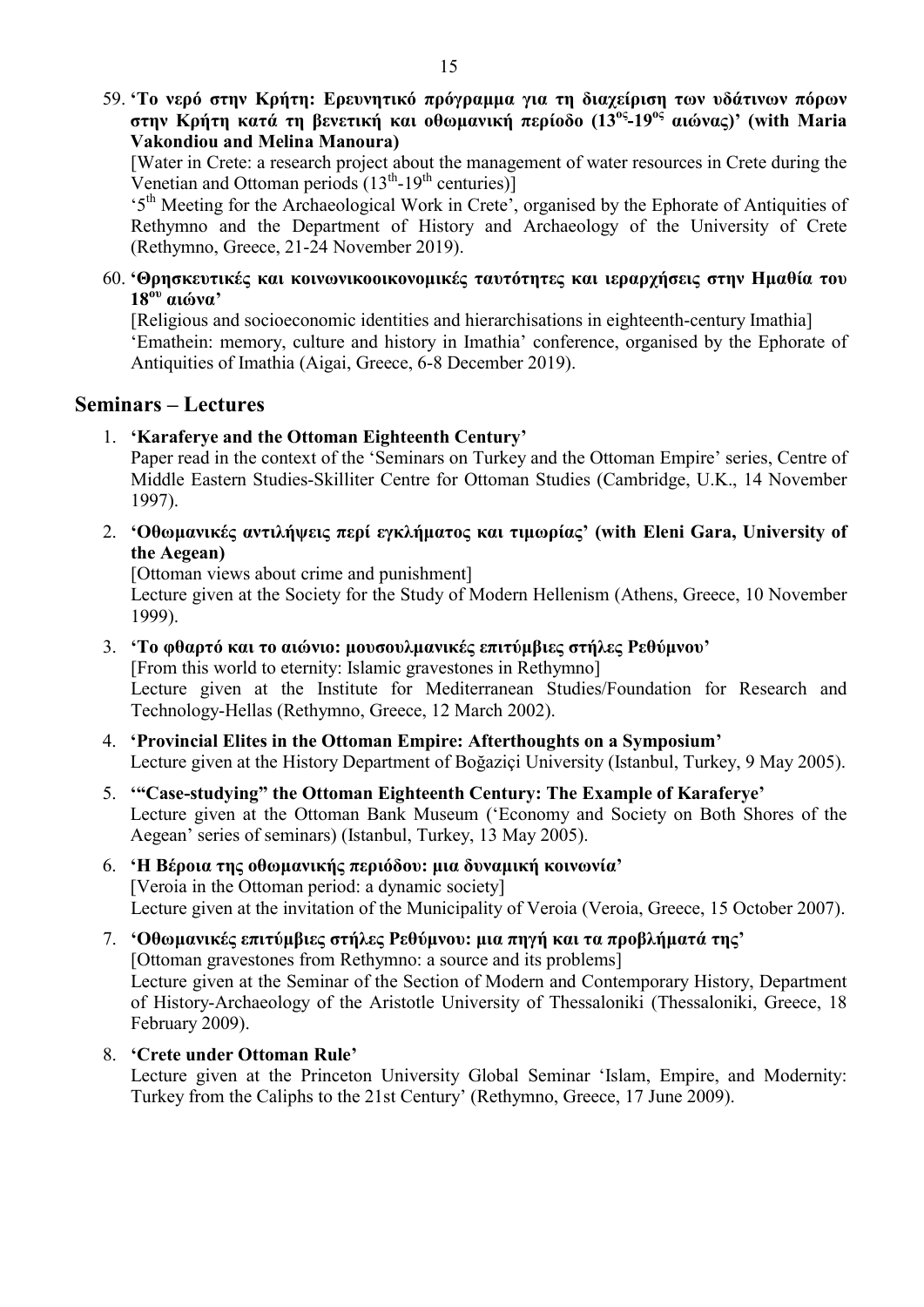59. 'Το νερό στην Κρήτη: Ερευνητικό πρόγραμμα για τη διαχείριση των υδάτινων πόρων στην Κρήτη κατά τη βενετική και οθωμανική περίοδο (13ος-19ος αιώνας)' (with Maria Vakondiou and Melina Manoura)

[Water in Crete: a research project about the management of water resources in Crete during the Venetian and Ottoman periods  $(13<sup>th</sup>-19<sup>th</sup>$  centuries)]

'5th Meeting for the Archaeological Work in Crete', organised by the Ephorate of Antiquities of Rethymno and the Department of History and Archaeology of the University of Crete (Rethymno, Greece, 21-24 November 2019).

60. 'Θρησκευτικές και κοινωνικοοικονομικές ταυτότητες και ιεραρχήσεις στην Ημαθία του 18ου αιώνα'

[Religious and socioeconomic identities and hierarchisations in eighteenth-century Imathia] 'Emathein: memory, culture and history in Imathia' conference, organised by the Ephorate of Antiquities of Imathia (Aigai, Greece, 6-8 December 2019).

# Seminars – Lectures

1. 'Karaferye and the Ottoman Eighteenth Century'

Paper read in the context of the 'Seminars on Turkey and the Ottoman Empire' series, Centre of Middle Eastern Studies-Skilliter Centre for Ottoman Studies (Cambridge, U.K., 14 November 1997).

2. 'Οθωμανικές αντιλήψεις περί εγκλήματος και τιμωρίας' (with Eleni Gara, University of the Aegean)

[Ottoman views about crime and punishment]

Lecture given at the Society for the Study of Modern Hellenism (Athens, Greece, 10 November 1999).

- 3. 'Το φθαρτό και το αιώνιο: μουσουλμανικές επιτύμβιες στήλες Ρεθύμνου' [From this world to eternity: Islamic gravestones in Rethymno] Lecture given at the Institute for Mediterranean Studies/Foundation for Research and Technology-Hellas (Rethymno, Greece, 12 March 2002).
- 4. 'Provincial Elites in the Ottoman Empire: Afterthoughts on a Symposium' Lecture given at the History Department of Boğaziçi University (Istanbul, Turkey, 9 May 2005).
- 5. '"Case-studying" the Ottoman Eighteenth Century: The Example of Karaferye' Lecture given at the Ottoman Bank Museum ('Economy and Society on Both Shores of the Aegean' series of seminars) (Istanbul, Turkey, 13 May 2005).

# 6. 'Η Βέροια της οθωμανικής περιόδου: μια δυναμική κοινωνία' [Veroia in the Ottoman period: a dynamic society] Lecture given at the invitation of the Municipality of Veroia (Veroia, Greece, 15 October 2007).

- 7. 'Οθωμανικές επιτύμβιες στήλες Ρεθύμνου: μια πηγή και τα προβλήματά της' [Ottoman gravestones from Rethymno: a source and its problems] Lecture given at the Seminar of the Section of Modern and Contemporary History, Department of History-Archaeology of the Aristotle University of Thessaloniki (Thessaloniki, Greece, 18 February 2009).
- 8. 'Crete under Ottoman Rule'

Lecture given at the Princeton University Global Seminar 'Islam, Empire, and Modernity: Turkey from the Caliphs to the 21st Century' (Rethymno, Greece, 17 June 2009).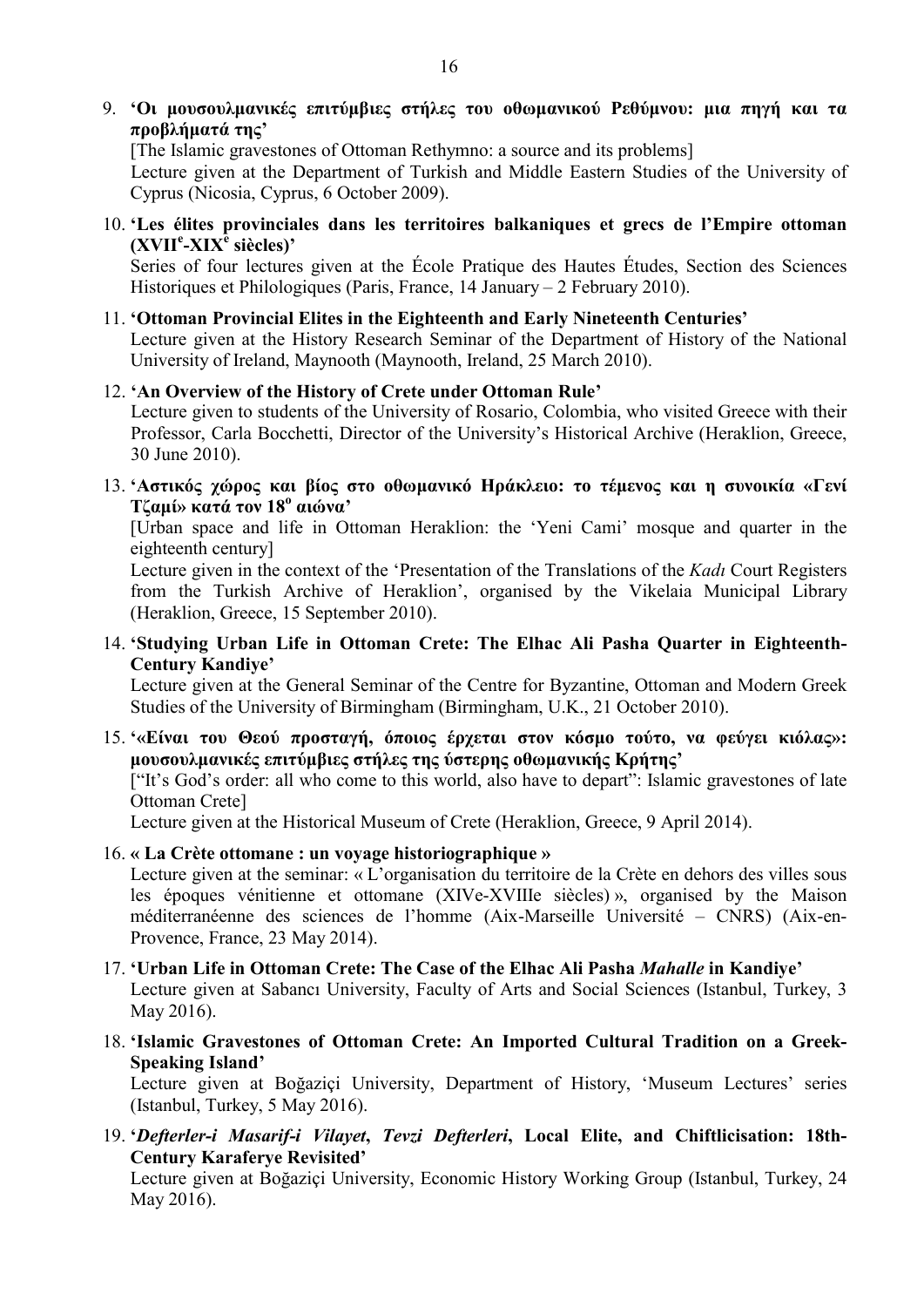[The Islamic gravestones of Ottoman Rethymno: a source and its problems] Lecture given at the Department of Turkish and Middle Eastern Studies of the University of

Cyprus (Nicosia, Cyprus, 6 October 2009).

10. 'Les élites provinciales dans les territoires balkaniques et grecs de l'Empire ottoman (XVII<sup>e</sup>-XIX<sup>e</sup> siècles)'

Series of four lectures given at the École Pratique des Hautes Études, Section des Sciences Historiques et Philologiques (Paris, France, 14 January – 2 February 2010).

#### 11. 'Ottoman Provincial Elites in the Eighteenth and Early Nineteenth Centuries'

Lecture given at the History Research Seminar of the Department of History of the National University of Ireland, Maynooth (Maynooth, Ireland, 25 March 2010).

#### 12. 'An Overview of the History of Crete under Ottoman Rule'

Lecture given to students of the University of Rosario, Colombia, who visited Greece with their Professor, Carla Bocchetti, Director of the University's Historical Archive (Heraklion, Greece, 30 June 2010).

13. 'Αστικός χώρος και βίος στο οθωμανικό Ηράκλειο: το τέμενος και η συνοικία «Γενί Τζαμί» κατά τον 18<sup>ο</sup> αιώνα'

[Urban space and life in Ottoman Heraklion: the 'Yeni Cami' mosque and quarter in the eighteenth century]

Lecture given in the context of the 'Presentation of the Translations of the Kadı Court Registers from the Turkish Archive of Heraklion', organised by the Vikelaia Municipal Library (Heraklion, Greece, 15 September 2010).

14. 'Studying Urban Life in Ottoman Crete: The Elhac Ali Pasha Quarter in Eighteenth-Century Kandiye'

Lecture given at the General Seminar of the Centre for Byzantine, Ottoman and Modern Greek Studies of the University of Birmingham (Birmingham, U.K., 21 October 2010).

15. '«Είναι του Θεού προσταγή, όποιος έρχεται στον κόσμο τούτο, να φεύγει κιόλας»: μουσουλμανικές επιτύμβιες στήλες της ύστερης οθωμανικής Κρήτης'

["It's God's order: all who come to this world, also have to depart": Islamic gravestones of late Ottoman Crete]

Lecture given at the Historical Museum of Crete (Heraklion, Greece, 9 April 2014).

16. « La Crète ottomane : un voyage historiographique »

Lecture given at the seminar: « L'organisation du territoire de la Crète en dehors des villes sous les époques vénitienne et ottomane (XIVe-XVIIIe siècles) », organised by the Maison méditerranéenne des sciences de l'homme (Aix-Marseille Université – CNRS) (Aix-en-Provence, France, 23 May 2014).

- 17. 'Urban Life in Ottoman Crete: The Case of the Elhac Ali Pasha Mahalle in Kandiye' Lecture given at Sabancı University, Faculty of Arts and Social Sciences (Istanbul, Turkey, 3 May 2016).
- 18. 'Islamic Gravestones of Ottoman Crete: An Imported Cultural Tradition on a Greek-Speaking Island'

Lecture given at Boğaziçi University, Department of History, 'Museum Lectures' series (Istanbul, Turkey, 5 May 2016).

19. 'Defterler-i Masarif-i Vilayet, Tevzi Defterleri, Local Elite, and Chiftlicisation: 18th-Century Karaferye Revisited'

Lecture given at Boğaziçi University, Economic History Working Group (Istanbul, Turkey, 24 May 2016).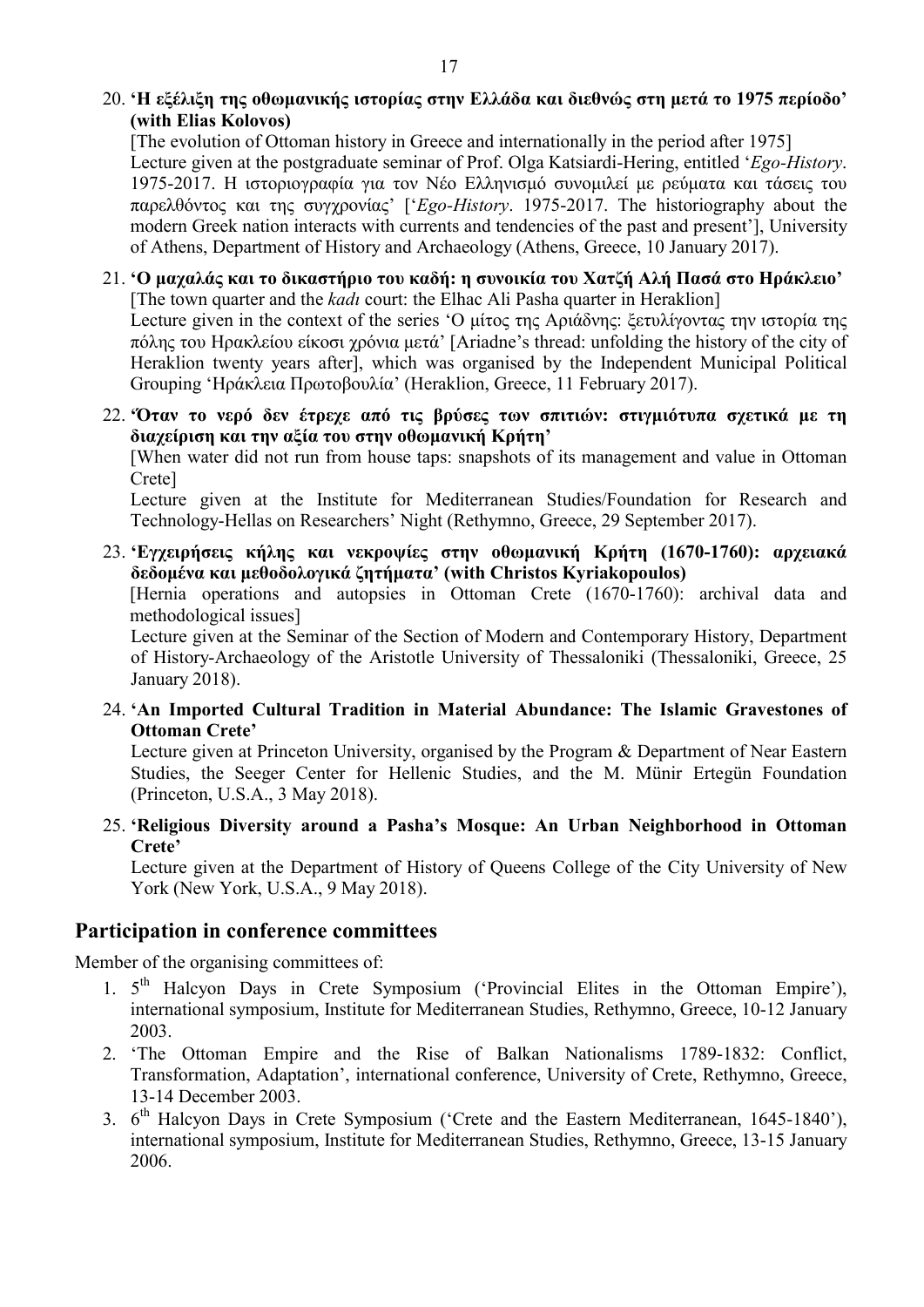# 20. 'Η εξέλιξη της οθωμανικής ιστορίας στην Ελλάδα και διεθνώς στη μετά το 1975 περίοδο' (with Elias Kolovos)

[The evolution of Ottoman history in Greece and internationally in the period after 1975] Lecture given at the postgraduate seminar of Prof. Olga Katsiardi-Hering, entitled 'Ego-History. 1975-2017. Η ιστοριογραφία για τον Νέο Ελληνισμό συνομιλεί με ρεύματα και τάσεις του παρελθόντος και της συγχρονίας' ['Ego-History. 1975-2017. The historiography about the modern Greek nation interacts with currents and tendencies of the past and present'], University of Athens, Department of History and Archaeology (Athens, Greece, 10 January 2017).

#### 21. 'Ο μαχαλάς και το δικαστήριο του καδή: η συνοικία του Χατζή Αλή Πασά στο Ηράκλειο' [The town quarter and the *kadı* court: the Elhac Ali Pasha quarter in Heraklion]

Lecture given in the context of the series 'Ο μίτος της Αριάδνης: ξετυλίγοντας την ιστορία της πόλης του Ηρακλείου είκοσι χρόνια μετά' [Ariadne's thread: unfolding the history of the city of Heraklion twenty years after], which was organised by the Independent Municipal Political Grouping 'Ηράκλεια Πρωτοβουλία' (Heraklion, Greece, 11 February 2017).

#### 22. 'Όταν το νερό δεν έτρεχε από τις βρύσες των σπιτιών: στιγμιότυπα σχετικά με τη διαχείριση και την αξία του στην οθωμανική Κρήτη'

[When water did not run from house taps: snapshots of its management and value in Ottoman Crete]

Lecture given at the Institute for Mediterranean Studies/Foundation for Research and Technology-Hellas on Researchers' Night (Rethymno, Greece, 29 September 2017).

# 23. 'Εγχειρήσεις κήλης και νεκροψίες στην οθωμανική Κρήτη (1670-1760): αρχειακά δεδομένα και μεθοδολογικά ζητήματα' (with Christos Kyriakopoulos)

[Hernia operations and autopsies in Ottoman Crete (1670-1760): archival data and methodological issues]

Lecture given at the Seminar of the Section of Modern and Contemporary History, Department of History-Archaeology of the Aristotle University of Thessaloniki (Thessaloniki, Greece, 25 January 2018).

24. 'An Imported Cultural Tradition in Material Abundance: The Islamic Gravestones of Ottoman Crete'

Lecture given at Princeton University, organised by the Program & Department of Near Eastern Studies, the Seeger Center for Hellenic Studies, and the M. Münir Ertegün Foundation (Princeton, U.S.A., 3 May 2018).

### 25. 'Religious Diversity around a Pasha's Mosque: An Urban Neighborhood in Ottoman Crete'

Lecture given at the Department of History of Queens College of the City University of New York (New York, U.S.A., 9 May 2018).

# Participation in conference committees

Member of the organising committees of:

- 1. 5<sup>th</sup> Halcyon Days in Crete Symposium ('Provincial Elites in the Ottoman Empire'), international symposium, Institute for Mediterranean Studies, Rethymno, Greece, 10-12 January 2003.
- 2. 'The Ottoman Empire and the Rise of Balkan Nationalisms 1789-1832: Conflict, Transformation, Adaptation', international conference, University of Crete, Rethymno, Greece, 13-14 December 2003.
- 3. 6<sup>th</sup> Halcyon Days in Crete Symposium ('Crete and the Eastern Mediterranean, 1645-1840'), international symposium, Institute for Mediterranean Studies, Rethymno, Greece, 13-15 January 2006.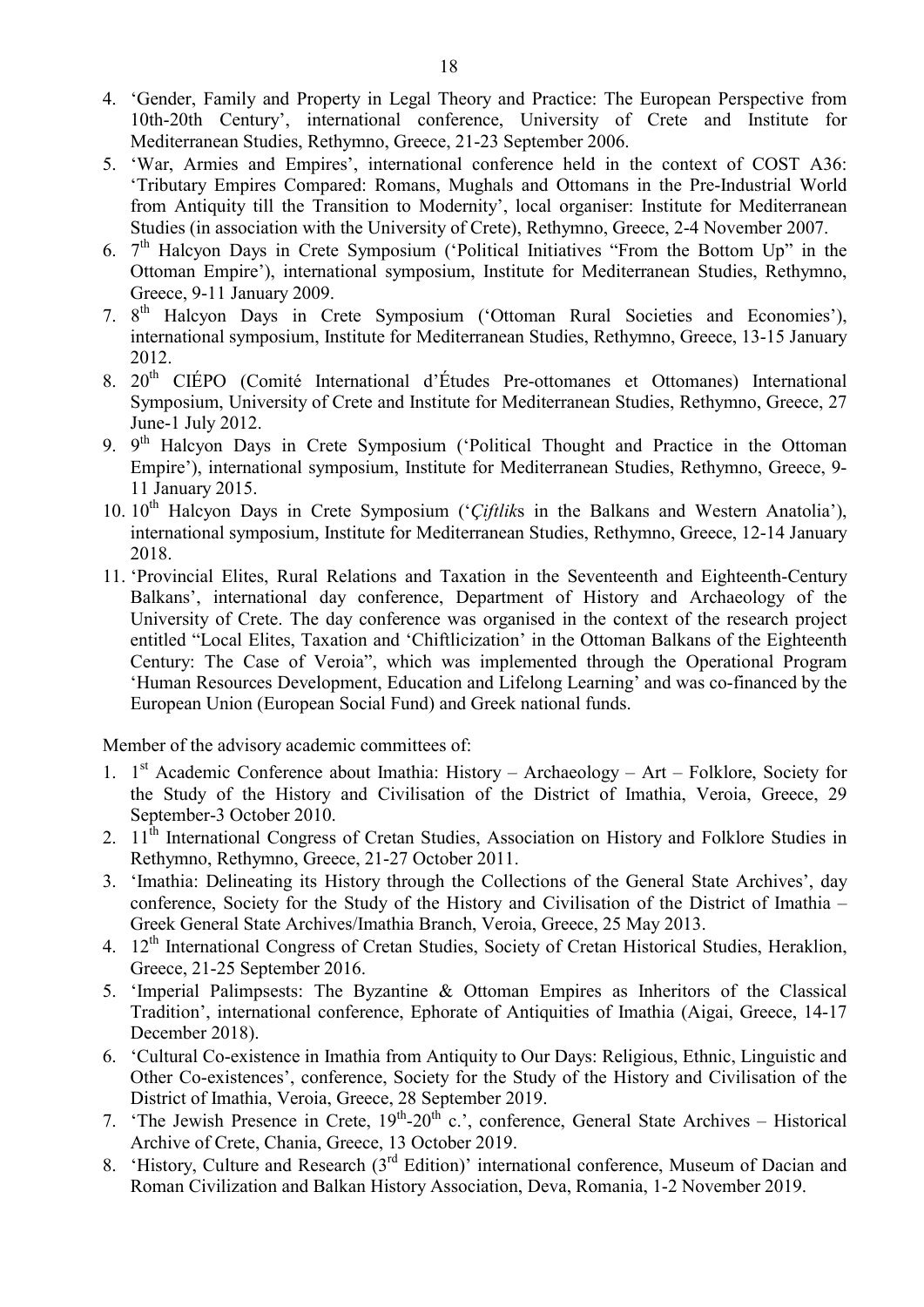- 4. 'Gender, Family and Property in Legal Theory and Practice: The European Perspective from 10th-20th Century', international conference, University of Crete and Institute for Mediterranean Studies, Rethymno, Greece, 21-23 September 2006.
- 5. 'War, Armies and Empires', international conference held in the context of COST Α36: 'Tributary Empires Compared: Romans, Mughals and Ottomans in the Pre-Industrial World from Antiquity till the Transition to Modernity', local organiser: Institute for Mediterranean Studies (in association with the University of Crete), Rethymno, Greece, 2-4 November 2007.
- 6.  $7<sup>th</sup>$  Halcyon Days in Crete Symposium ('Political Initiatives "From the Bottom Up" in the Ottoman Empire'), international symposium, Institute for Mediterranean Studies, Rethymno, Greece, 9-11 January 2009.
- 7. 8<sup>th</sup> Halcyon Days in Crete Symposium ('Ottoman Rural Societies and Economies'), international symposium, Institute for Mediterranean Studies, Rethymno, Greece, 13-15 January 2012.
- 8. 20<sup>th</sup> CIÉPO (Comité International d'Études Pre-ottomanes et Ottomanes) International Symposium, University of Crete and Institute for Mediterranean Studies, Rethymno, Greece, 27 June-1 July 2012.
- 9. 9<sup>th</sup> Halcyon Days in Crete Symposium ('Political Thought and Practice in the Ottoman Empire'), international symposium, Institute for Mediterranean Studies, Rethymno, Greece, 9- 11 January 2015.
- 10.  $10^{th}$  Halcyon Days in Crete Symposium ('Ciftliks in the Balkans and Western Anatolia'), international symposium, Institute for Mediterranean Studies, Rethymno, Greece, 12-14 January 2018.
- 11. 'Provincial Elites, Rural Relations and Taxation in the Seventeenth and Eighteenth-Century Balkans', international day conference, Department of History and Archaeology of the University of Crete. The day conference was organised in the context of the research project entitled "Local Elites, Taxation and 'Chiftlicization' in the Ottoman Balkans of the Eighteenth Century: The Case of Veroia", which was implemented through the Operational Program 'Human Resources Development, Education and Lifelong Learning' and was co-financed by the European Union (European Social Fund) and Greek national funds.

Member of the advisory academic committees of:

- 1. 1<sup>st</sup> Academic Conference about Imathia: History Archaeology Art Folklore, Society for the Study of the History and Civilisation of the District of Imathia, Veroia, Greece, 29 September-3 October 2010.
- 2. 11<sup>th</sup> International Congress of Cretan Studies, Association on History and Folklore Studies in Rethymno, Rethymno, Greece, 21-27 October 2011.
- 3. 'Imathia: Delineating its History through the Collections of the General State Archives', day conference, Society for the Study of the History and Civilisation of the District of Imathia – Greek General State Archives/Imathia Branch, Veroia, Greece, 25 May 2013.
- 4. 12<sup>th</sup> International Congress of Cretan Studies, Society of Cretan Historical Studies, Heraklion, Greece, 21-25 September 2016.
- 5. 'Imperial Palimpsests: The Byzantine & Ottoman Empires as Inheritors of the Classical Tradition', international conference, Ephorate of Antiquities of Imathia (Aigai, Greece, 14-17 December 2018).
- 6. 'Cultural Co-existence in Imathia from Antiquity to Our Days: Religious, Ethnic, Linguistic and Other Co-existences', conference, Society for the Study of the History and Civilisation of the District of Imathia, Veroia, Greece, 28 September 2019.
- 7. 'The Jewish Presence in Crete,  $19^{th}$ - $20^{th}$  c.', conference, General State Archives Historical Archive of Crete, Chania, Greece, 13 October 2019.
- 8. 'History, Culture and Research (3<sup>rd</sup> Edition)' international conference, Museum of Dacian and Roman Civilization and Balkan History Association, Deva, Romania, 1-2 November 2019.